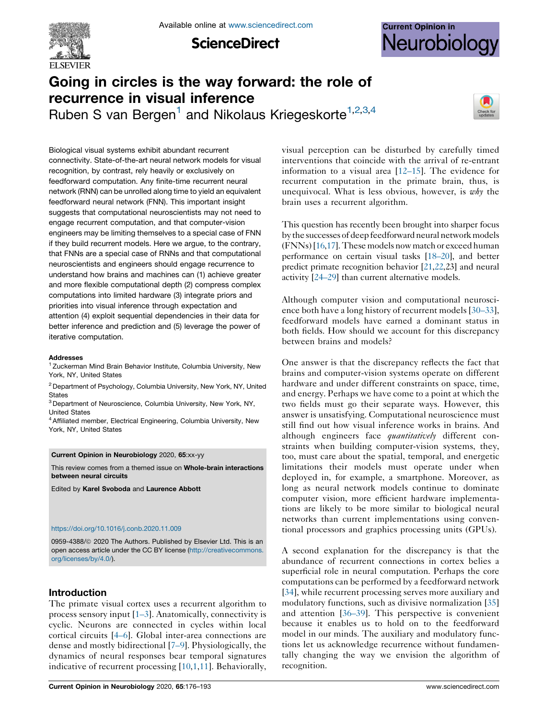

**ScienceDirect** 



# Going in circles is the way forward: the role of recurrence in visual inference

Ruben S van Bergen<sup>1</sup> and Nikolaus Kriegeskorte<sup>1,2,3,4</sup>



Biological visual systems exhibit abundant recurrent connectivity. State-of-the-art neural network models for visual recognition, by contrast, rely heavily or exclusively on feedforward computation. Any finite-time recurrent neural network (RNN) can be unrolled along time to yield an equivalent feedforward neural network (FNN). This important insight suggests that computational neuroscientists may not need to engage recurrent computation, and that computer-vision engineers may be limiting themselves to a special case of FNN if they build recurrent models. Here we argue, to the contrary, that FNNs are a special case of RNNs and that computational neuroscientists and engineers should engage recurrence to understand how brains and machines can (1) achieve greater and more flexible computational depth (2) compress complex computations into limited hardware (3) integrate priors and priorities into visual inference through expectation and attention (4) exploit sequential dependencies in their data for better inference and prediction and (5) leverage the power of iterative computation.

#### Addresses

<sup>1</sup> Zuckerman Mind Brain Behavior Institute, Columbia University, New York, NY, United States

 $2$  Department of Psychology, Columbia University, New York, NY, United **States** 

<sup>3</sup> Department of Neuroscience, Columbia University, New York, NY, United States

 $4$  Affiliated member, Electrical Engineering, Columbia University, New York, NY, United States

#### Current Opinion in Neurobiology 2020, 65:xx-yy

This review comes from a themed issue on Whole-brain interactions between neural circuits

Edited by Karel Svoboda and Laurence Abbott

#### [https://doi.org/10.1016/j.conb.2020.11.009](http://10.1016/j.conb.2020.11.009)

0959-4388/@ 2020 The Authors. Published by Elsevier Ltd. This is an open access article under the CC BY license [\(http://creativecommons.](http://creativecommons.org/licenses/by/4.0/) [org/licenses/by/4.0/](http://creativecommons.org/licenses/by/4.0/)).

# Introduction

The primate visual cortex uses a recurrent algorithm to process sensory input [\[1–3](#page-14-0)]. Anatomically, connectivity is cyclic. Neurons are connected in cycles within local cortical circuits [\[4–6\]](#page-14-0). Global inter-area connections are dense and mostly bidirectional [[7–9\]](#page-14-0). Physiologically, the dynamics of neural responses bear temporal signatures indicative of recurrent processing [\[10](#page-14-0),[1,11](#page-14-0)]. Behaviorally, visual perception can be disturbed by carefully timed interventions that coincide with the arrival of re-entrant information to a visual area [[12–15\]](#page-14-0). The evidence for recurrent computation in the primate brain, thus, is unequivocal. What is less obvious, however, is  $why$  the brain uses a recurrent algorithm.

This question has recently been brought into sharper focus by the successes of deep feedforward neural network models (FNNs)[[16](#page-14-0),[17](#page-14-0)].These models nowmatch or exceed human performance on certain visual tasks [\[18–20](#page-14-0)], and better predict primate recognition behavior [[21](#page-14-0),[22](#page-14-0),23] and neural activity [\[24–29](#page-14-0)] than current alternative models.

Although computer vision and computational neuroscience both have a long history of recurrent models [[30–33](#page-15-0)], feedforward models have earned a dominant status in both fields. How should we account for this discrepancy between brains and models?

One answer is that the discrepancy reflects the fact that brains and computer-vision systems operate on different hardware and under different constraints on space, time, and energy. Perhaps we have come to a point at which the two fields must go their separate ways. However, this answer is unsatisfying. Computational neuroscience must still find out how visual inference works in brains. And although engineers face *quantitatively* different constraints when building computer-vision systems, they, too, must care about the spatial, temporal, and energetic limitations their models must operate under when deployed in, for example, a smartphone. Moreover, as long as neural network models continue to dominate computer vision, more efficient hardware implementations are likely to be more similar to biological neural networks than current implementations using conventional processors and graphics processing units (GPUs).

A second explanation for the discrepancy is that the abundance of recurrent connections in cortex belies a superficial role in neural computation. Perhaps the core computations can be performed by a feedforward network [\[34](#page-15-0)], while recurrent processing serves more auxiliary and modulatory functions, such as divisive normalization [\[35\]](#page-15-0) and attention [\[36–39](#page-15-0)]. This perspective is convenient because it enables us to hold on to the feedforward model in our minds. The auxiliary and modulatory functions let us acknowledge recurrence without fundamentally changing the way we envision the algorithm of recognition.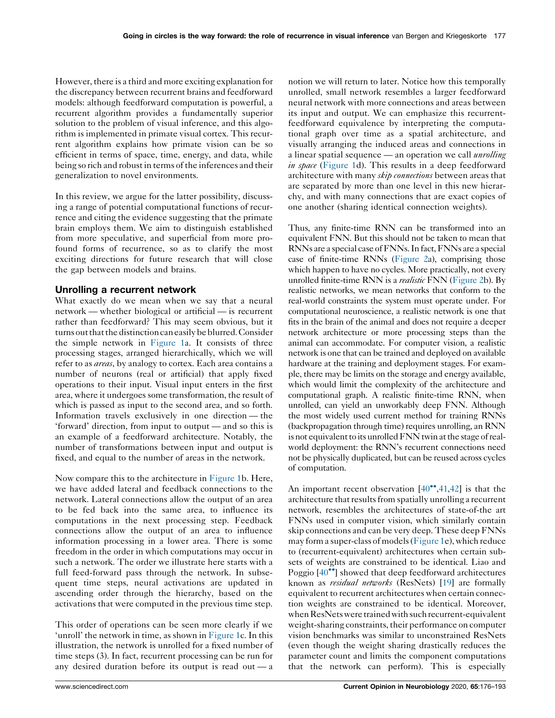However, there is a third and more exciting explanation for the discrepancy between recurrent brains and feedforward models: although feedforward computation is powerful, a recurrent algorithm provides a fundamentally superior solution to the problem of visual inference, and this algorithm is implemented in primate visual cortex. This recurrent algorithm explains how primate vision can be so efficient in terms of space, time, energy, and data, while being so rich and robust in terms of the inferences and their generalization to novel environments.

In this review, we argue for the latter possibility, discussing a range of potential computational functions of recurrence and citing the evidence suggesting that the primate brain employs them. We aim to distinguish established from more speculative, and superficial from more profound forms of recurrence, so as to clarify the most exciting directions for future research that will close the gap between models and brains.

# Unrolling a recurrent network

What exactly do we mean when we say that a neural network — whether biological or artificial — is recurrent rather than feedforward? This may seem obvious, but it turns out that the distinction can easily be blurred. Consider the simple network in [Figure](#page-2-0) 1a. It consists of three processing stages, arranged hierarchically, which we will refer to as *areas*, by analogy to cortex. Each area contains a number of neurons (real or artificial) that apply fixed operations to their input. Visual input enters in the first area, where it undergoes some transformation, the result of which is passed as input to the second area, and so forth. Information travels exclusively in one direction — the 'forward' direction, from input to output — and so this is an example of a feedforward architecture. Notably, the number of transformations between input and output is fixed, and equal to the number of areas in the network.

Now compare this to the architecture in [Figure](#page-2-0) 1b. Here, we have added lateral and feedback connections to the network. Lateral connections allow the output of an area to be fed back into the same area, to influence its computations in the next processing step. Feedback connections allow the output of an area to influence information processing in a lower area. There is some freedom in the order in which computations may occur in such a network. The order we illustrate here starts with a full feed-forward pass through the network. In subsequent time steps, neural activations are updated in ascending order through the hierarchy, based on the activations that were computed in the previous time step.

This order of operations can be seen more clearly if we 'unroll' the network in time, as shown in [Figure](#page-2-0) 1c. In this illustration, the network is unrolled for a fixed number of time steps (3). In fact, recurrent processing can be run for any desired duration before its output is read out — a

notion we will return to later. Notice how this temporally unrolled, small network resembles a larger feedforward neural network with more connections and areas between its input and output. We can emphasize this recurrentfeedforward equivalence by interpreting the computational graph over time as a spatial architecture, and visually arranging the induced areas and connections in a linear spatial sequence — an operation we call *unrolling in space* [\(Figure](#page-2-0) 1d). This results in a deep feedforward architecture with many *skip connections* between areas that are separated by more than one level in this new hierarchy, and with many connections that are exact copies of one another (sharing identical connection weights).

Thus, any finite-time RNN can be transformed into an equivalent FNN. But this should not be taken to mean that RNNs are a special case of FNNs. In fact, FNNs are a special case of finite-time RNNs ([Figure](#page-3-0) 2a), comprising those which happen to have no cycles. More practically, not every unrolled finite-time RNN is a *realistic* FNN ([Figure](#page-3-0) 2b). By realistic networks, we mean networks that conform to the real-world constraints the system must operate under. For computational neuroscience, a realistic network is one that fits in the brain of the animal and does not require a deeper network architecture or more processing steps than the animal can accommodate. For computer vision, a realistic network is one that can be trained and deployed on available hardware at the training and deployment stages. For example, there may be limits on the storage and energy available, which would limit the complexity of the architecture and computational graph. A realistic finite-time RNN, when unrolled, can yield an unworkably deep FNN. Although the most widely used current method for training RNNs (backpropagation through time) requires unrolling, an RNN is not equivalent to its unrolled FNN twin at the stage of realworld deployment: the RNN's recurrent connections need not be physically duplicated, but can be reused across cycles of computation.

An important recent observation  $[40^{\bullet\bullet}, 41, 42]$  $[40^{\bullet\bullet}, 41, 42]$  $[40^{\bullet\bullet}, 41, 42]$  $[40^{\bullet\bullet}, 41, 42]$  is that the architecture that results from spatially unrolling a recurrent network, resembles the architectures of state-of-the art FNNs used in computer vision, which similarly contain skip connections and can be very deep. These deep FNNs may form a super-class of models[\(Figure](#page-2-0) 1e), which reduce to (recurrent-equivalent) architectures when certain subsets of weights are constrained to be identical. Liao and Poggio  $[40\text{°}]$  $[40\text{°}]$  $[40\text{°}]$  showed that deep feedforward architectures known as *residual networks* (ResNets) [[19](#page-14-0)] are formally equivalent to recurrent architectures when certain connection weights are constrained to be identical. Moreover, when ResNets were trained with such recurrent-equivalent weight-sharing constraints, their performance on computer vision benchmarks was similar to unconstrained ResNets (even though the weight sharing drastically reduces the parameter count and limits the component computations that the network can perform). This is especially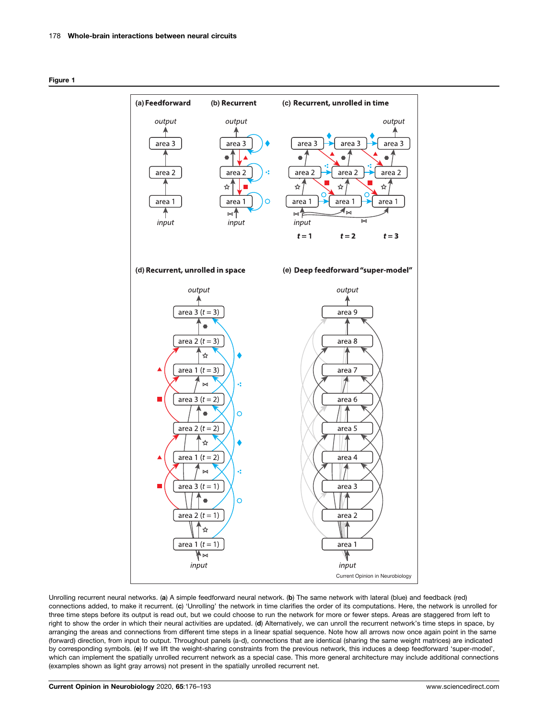<span id="page-2-0"></span>



Unrolling recurrent neural networks. (a) A simple feedforward neural network. (b) The same network with lateral (blue) and feedback (red) connections added, to make it recurrent. (c) 'Unrolling' the network in time clarifies the order of its computations. Here, the network is unrolled for three time steps before its output is read out, but we could choose to run the network for more or fewer steps. Areas are staggered from left to right to show the order in which their neural activities are updated. (d) Alternatively, we can unroll the recurrent network's time steps in space, by arranging the areas and connections from different time steps in a linear spatial sequence. Note how all arrows now once again point in the same (forward) direction, from input to output. Throughout panels (a-d), connections that are identical (sharing the same weight matrices) are indicated by corresponding symbols. (e) If we lift the weight-sharing constraints from the previous network, this induces a deep feedforward 'super-model', which can implement the spatially unrolled recurrent network as a special case. This more general architecture may include additional connections (examples shown as light gray arrows) not present in the spatially unrolled recurrent net.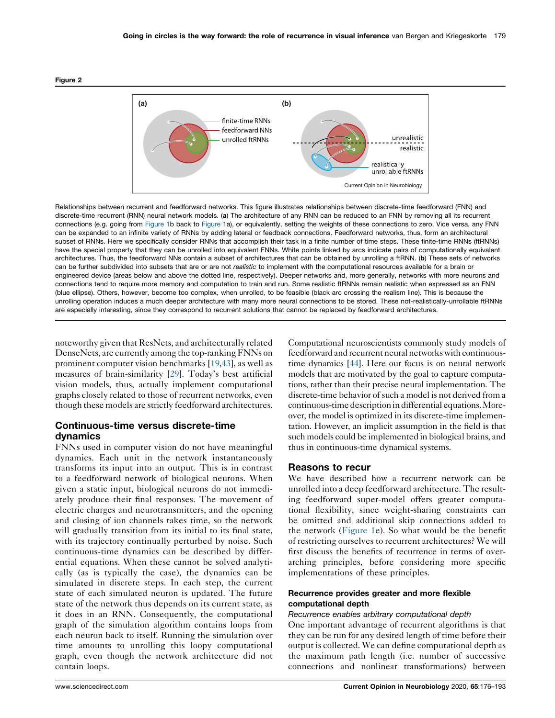<span id="page-3-0"></span>



Relationships between recurrent and feedforward networks. This figure illustrates relationships between discrete-time feedforward (FNN) and discrete-time recurrent (RNN) neural network models. (a) The architecture of any RNN can be reduced to an FNN by removing all its recurrent connections (e.g. going from [Figure](#page-2-0) 1b back to [Figure](#page-2-0) 1a), or equivalently, setting the weights of these connections to zero. Vice versa, any FNN can be expanded to an infinite variety of RNNs by adding lateral or feedback connections. Feedforward networks, thus, form an architectural subset of RNNs. Here we specifically consider RNNs that accomplish their task in a finite number of time steps. These finite-time RNNs (ftRNNs) have the special property that they can be unrolled into equivalent FNNs. White points linked by arcs indicate pairs of computationally equivalent architectures. Thus, the feedforward NNs contain a subset of architectures that can be obtained by unrolling a ftRNN. (b) These sets of networks can be further subdivided into subsets that are or are not realistic to implement with the computational resources available for a brain or engineered device (areas below and above the dotted line, respectively). Deeper networks and, more generally, networks with more neurons and connections tend to require more memory and computation to train and run. Some realistic ftRNNs remain realistic when expressed as an FNN (blue ellipse). Others, however, become too complex, when unrolled, to be feasible (black arc crossing the realism line). This is because the unrolling operation induces a much deeper architecture with many more neural connections to be stored. These not-realistically-unrollable ftRNNs are especially interesting, since they correspond to recurrent solutions that cannot be replaced by feedforward architectures.

noteworthy given that ResNets, and architecturally related DenseNets, are currently among the top-rankingFNNs on prominent computer vision benchmarks [\[19](#page-14-0),[43\]](#page-15-0), as well as measures of brain-similarity [[29\]](#page-14-0). Today's best artificial vision models, thus, actually implement computational graphs closely related to those of recurrent networks, even though these models are strictly feedforward architectures.

# Continuous-time versus discrete-time dynamics

FNNs used in computer vision do not have meaningful dynamics. Each unit in the network instantaneously transforms its input into an output. This is in contrast to a feedforward network of biological neurons. When given a static input, biological neurons do not immediately produce their final responses. The movement of electric charges and neurotransmitters, and the opening and closing of ion channels takes time, so the network will gradually transition from its initial to its final state, with its trajectory continually perturbed by noise. Such continuous-time dynamics can be described by differential equations. When these cannot be solved analytically (as is typically the case), the dynamics can be simulated in discrete steps. In each step, the current state of each simulated neuron is updated. The future state of the network thus depends on its current state, as it does in an RNN. Consequently, the computational graph of the simulation algorithm contains loops from each neuron back to itself. Running the simulation over time amounts to unrolling this loopy computational graph, even though the network architecture did not contain loops.

Computational neuroscientists commonly study models of feedforward and recurrent neural networks with continuoustime dynamics [\[44\]](#page-15-0). Here our focus is on neural network models that are motivated by the goal to capture computations, rather than their precise neural implementation. The discrete-time behavior of such a model is not derived from a continuous-time description in differential equations. Moreover, the model is optimized in its discrete-time implementation. However, an implicit assumption in the field is that such models could be implemented in biological brains, and thus in continuous-time dynamical systems.

# Reasons to recur

We have described how a recurrent network can be unrolled into a deep feedforward architecture. The resulting feedforward super-model offers greater computational flexibility, since weight-sharing constraints can be omitted and additional skip connections added to the network ([Figure](#page-2-0) 1e). So what would be the benefit of restricting ourselves to recurrent architectures? We will first discuss the benefits of recurrence in terms of overarching principles, before considering more specific implementations of these principles.

# Recurrence provides greater and more flexible computational depth

#### Recurrence enables arbitrary computational depth

One important advantage of recurrent algorithms is that they can be run for any desired length of time before their output is collected. We can define computational depth as the maximum path length (i.e. number of successive connections and nonlinear transformations) between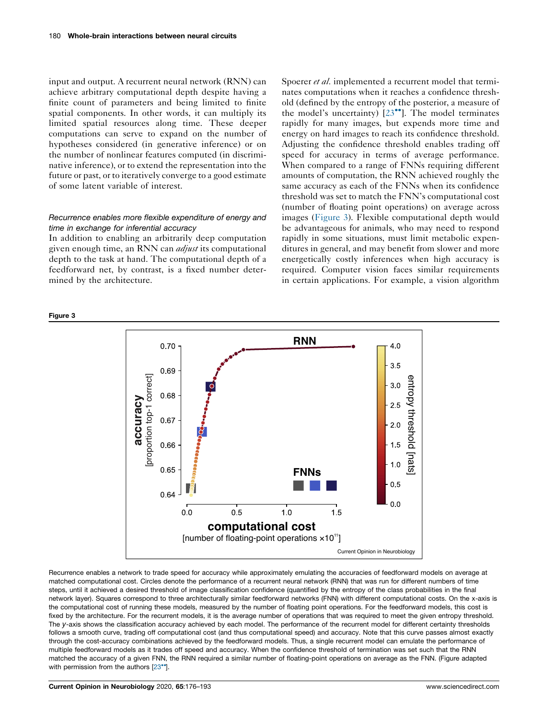input and output. A recurrent neural network (RNN) can achieve arbitrary computational depth despite having a finite count of parameters and being limited to finite spatial components. In other words, it can multiply its limited spatial resources along time. These deeper computations can serve to expand on the number of hypotheses considered (in generative inference) or on the number of nonlinear features computed (in discriminative inference), or to extend the representation into the future or past, or to iteratively converge to a good estimate of some latent variable of interest.

# Recurrence enables more flexible expenditure of energy and time in exchange for inferential accuracy

In addition to enabling an arbitrarily deep computation given enough time, an RNN can adjust its computational depth to the task at hand. The computational depth of a feedforward net, by contrast, is a fixed number determined by the architecture.

Spoerer *et al.* implemented a recurrent model that terminates computations when it reaches a confidence threshold (defined by the entropy of the posterior, a measure of the model's uncertainty)  $[23^{\bullet\bullet}]$ . The model [terminates](#page-14-0) rapidly for many images, but expends more time and energy on hard images to reach its confidence threshold. Adjusting the confidence threshold enables trading off speed for accuracy in terms of average performance. When compared to a range of FNNs requiring different amounts of computation, the RNN achieved roughly the same accuracy as each of the FNNs when its confidence threshold was set to match the FNN's computational cost (number of floating point operations) on average across images (Figure 3). Flexible computational depth would be advantageous for animals, who may need to respond rapidly in some situations, must limit metabolic expenditures in general, and may benefit from slower and more energetically costly inferences when high accuracy is required. Computer vision faces similar requirements in certain applications. For example, a vision algorithm



Recurrence enables a network to trade speed for accuracy while approximately emulating the accuracies of feedforward models on average at matched computational cost. Circles denote the performance of a recurrent neural network (RNN) that was run for different numbers of time steps, until it achieved a desired threshold of image classification confidence (quantified by the entropy of the class probabilities in the final network layer). Squares correspond to three architecturally similar feedforward networks (FNN) with different computational costs. On the x-axis is the computational cost of running these models, measured by the number of floating point operations. For the feedforward models, this cost is fixed by the architecture. For the recurrent models, it is the average number of operations that was required to meet the given entropy threshold. The y-axis shows the classification accuracy achieved by each model. The performance of the recurrent model for different certainty thresholds follows a smooth curve, trading off computational cost (and thus computational speed) and accuracy. Note that this curve passes almost exactly through the cost-accuracy combinations achieved by the feedforward models. Thus, a single recurrent model can emulate the performance of multiple feedforward models as it trades off speed and accuracy. When the confidence threshold of termination was set such that the RNN matched the accuracy of a given FNN, the RNN required a similar number of floating-point operations on average as the FNN. (Figure adapted with permission from the authors  $[23^{\circ}]$  $[23^{\circ}]$  $[23^{\circ}]$ .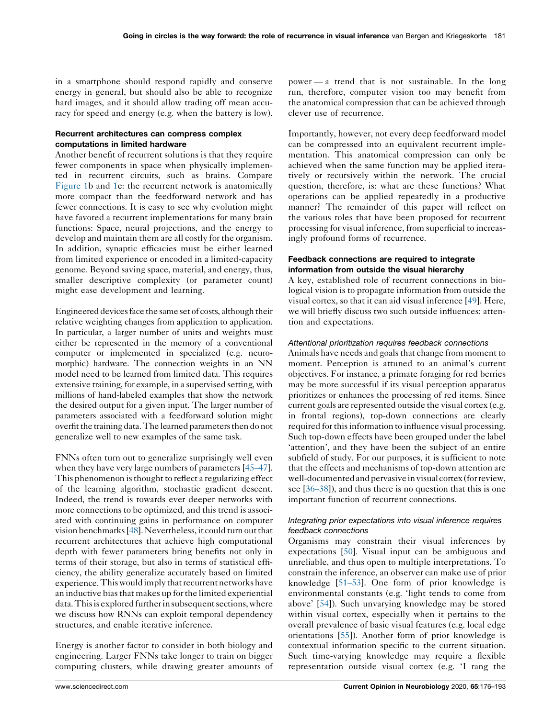in a smartphone should respond rapidly and conserve energy in general, but should also be able to recognize hard images, and it should allow trading off mean accuracy for speed and energy (e.g. when the battery is low).

# Recurrent architectures can compress complex computations in limited hardware

Another benefit of recurrent solutions is that they require fewer components in space when physically implemented in recurrent circuits, such as brains. Compare [Figure](#page-2-0) 1b and [1e](#page-2-0): the recurrent network is anatomically more compact than the feedforward network and has fewer connections. It is easy to see why evolution might have favored a recurrent implementations for many brain functions: Space, neural projections, and the energy to develop and maintain them are all costly for the organism. In addition, synaptic efficacies must be either learned from limited experience or encoded in a limited-capacity genome. Beyond saving space, material, and energy, thus, smaller descriptive complexity (or parameter count) might ease development and learning.

Engineered devicesface the same set of costs, although their relative weighting changes from application to application. In particular, a larger number of units and weights must either be represented in the memory of a conventional computer or implemented in specialized (e.g. neuromorphic) hardware. The connection weights in an NN model need to be learned from limited data. This requires extensive training, for example, in a supervised setting, with millions of hand-labeled examples that show the network the desired output for a given input. The larger number of parameters associated with a feedforward solution might overfit the training data. The learned parameters then do not generalize well to new examples of the same task.

FNNs often turn out to generalize surprisingly well even when they have very large numbers of parameters [[45–47](#page-15-0)]. This phenomenon isthought to reflect a regularizing effect of the learning algorithm, stochastic gradient descent. Indeed, the trend is towards ever deeper networks with more connections to be optimized, and this trend is associated with continuing gains in performance on computer vision benchmarks  $[48]$  $[48]$  $[48]$ . Nevertheless, it could turn out that recurrent architectures that achieve high computational depth with fewer parameters bring benefits not only in terms of their storage, but also in terms of statistical efficiency, the ability generalize accurately based on limited experience. This would imply that recurrent networks have an inductive bias that makes up for the limited experiential data. This is explored further in subsequent sections, where we discuss how RNNs can exploit temporal dependency structures, and enable iterative inference.

Energy is another factor to consider in both biology and engineering. Larger FNNs take longer to train on bigger computing clusters, while drawing greater amounts of

power — a trend that is not sustainable. In the long run, therefore, computer vision too may benefit from the anatomical compression that can be achieved through clever use of recurrence.

Importantly, however, not every deep feedforward model can be compressed into an equivalent recurrent implementation. This anatomical compression can only be achieved when the same function may be applied iteratively or recursively within the network. The crucial question, therefore, is: what are these functions? What operations can be applied repeatedly in a productive manner? The remainder of this paper will reflect on the various roles that have been proposed for recurrent processing for visual inference, from superficial to increasingly profound forms of recurrence.

# Feedback connections are required to integrate information from outside the visual hierarchy

A key, established role of recurrent connections in biological vision is to propagate information from outside the visual cortex, so that it can aid visual inference [\[49](#page-15-0)]. Here, we will briefly discuss two such outside influences: attention and expectations.

#### Attentional prioritization requires feedback connections

Animals have needs and goalsthat change from moment to moment. Perception is attuned to an animal's current objectives. For instance, a primate foraging for red berries may be more successful if its visual perception apparatus prioritizes or enhances the processing of red items. Since current goals are represented outside the visual cortex (e.g. in frontal regions), top-down connections are clearly required for this information to influence visual processing. Such top-down effects have been grouped under the label 'attention', and they have been the subject of an entire subfield of study. For our purposes, it is sufficient to note that the effects and mechanisms of top-down attention are well-documented and pervasive in visual cortex (for review, see [[36–38](#page-15-0)]), and thus there is no question that this is one important function of recurrent connections.

#### Integrating prior expectations into visual inference requires feedback connections

Organisms may constrain their visual inferences by expectations [\[50](#page-15-0)]. Visual input can be ambiguous and unreliable, and thus open to multiple interpretations. To constrain the inference, an observer can make use of prior knowledge [[51–53\]](#page-15-0). One form of prior knowledge is environmental constants (e.g. 'light tends to come from above' [[54](#page-15-0)]). Such unvarying knowledge may be stored within visual cortex, especially when it pertains to the overall prevalence of basic visual features (e.g. local edge orientations [\[55](#page-15-0)]). Another form of prior knowledge is contextual information specific to the current situation. Such time-varying knowledge may require a flexible representation outside visual cortex (e.g. 'I rang the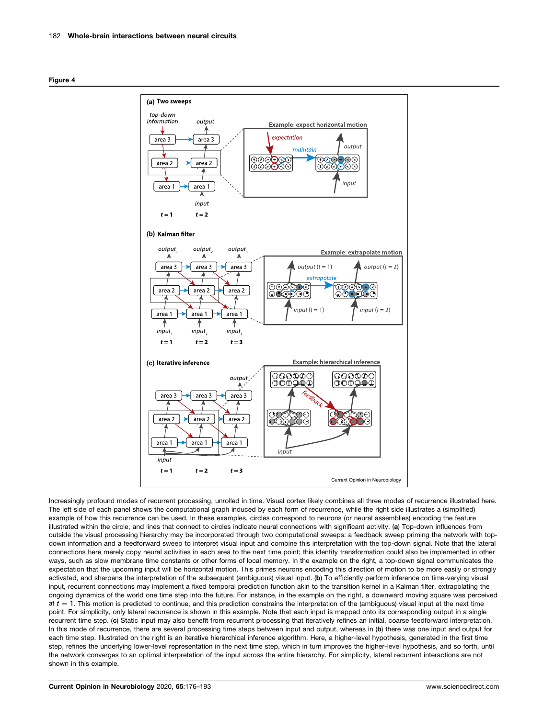<span id="page-6-0"></span>



Increasingly profound modes of recurrent processing, unrolled in time. Visual cortex likely combines all three modes of recurrence illustrated here. The left side of each panel shows the computational graph induced by each form of recurrence, while the right side illustrates a (simplified) example of how this recurrence can be used. In these examples, circles correspond to neurons (or neural assemblies) encoding the feature illustrated within the circle, and lines that connect to circles indicate neural connections with significant activity. (a) Top-down influences from outside the visual processing hierarchy may be incorporated through two computational sweeps: a feedback sweep priming the network with topdown information and a feedforward sweep to interpret visual input and combine this interpretation with the top-down signal. Note that the lateral connections here merely copy neural activities in each area to the next time point; this identity transformation could also be implemented in other ways, such as slow membrane time constants or other forms of local memory. In the example on the right, a top-down signal communicates the expectation that the upcoming input will be horizontal motion. This primes neurons encoding this direction of motion to be more easily or strongly activated, and sharpens the interpretation of the subsequent (ambiguous) visual input. (b) To efficiently perform inference on time-varying visual input, recurrent connections may implement a fixed temporal prediction function akin to the transition kernel in a Kalman filter, extrapolating the ongoing dynamics of the world one time step into the future. For instance, in the example on the right, a downward moving square was perceived at  $t = 1$ . This motion is predicted to continue, and this prediction constrains the interpretation of the (ambiguous) visual input at the next time point. For simplicity, only lateral recurrence is shown in this example. Note that each input is mapped onto its corresponding output in a single recurrent time step. (c) Static input may also benefit from recurrent processing that iteratively refines an initial, coarse feedforward interpretation. In this mode of recurrence, there are several processing time steps between input and output, whereas in (b) there was one input and output for each time step. Illustrated on the right is an iterative hierarchical inference algorithm. Here, a higher-level hypothesis, generated in the first time step, refines the underlying lower-level representation in the next time step, which in turn improves the higher-level hypothesis, and so forth, until the network converges to an optimal interpretation of the input across the entire hierarchy. For simplicity, lateral recurrent interactions are not shown in this example.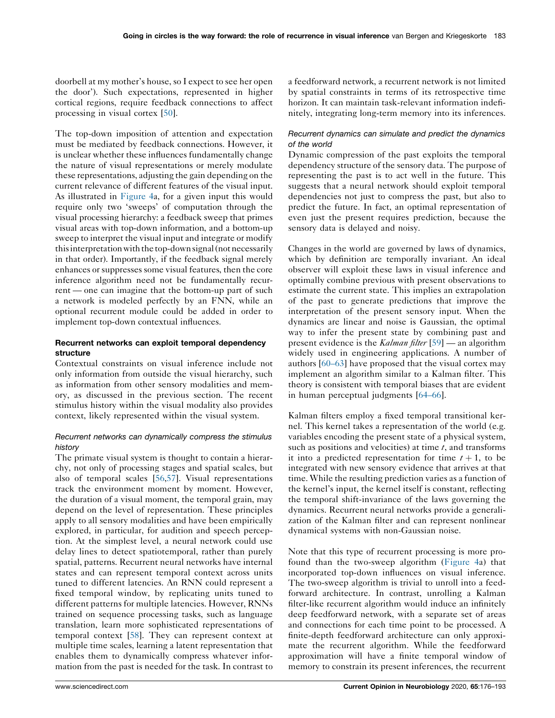doorbell at my mother's house, so I expect to see her open the door'). Such expectations, represented in higher cortical regions, require feedback connections to affect processing in visual cortex [[50\]](#page-15-0).

The top-down imposition of attention and expectation must be mediated by feedback connections. However, it is unclear whether these influences fundamentally change the nature of visual representations or merely modulate these representations, adjusting the gain depending on the current relevance of different features of the visual input. As illustrated in [Figure](#page-6-0) 4a, for a given input this would require only two 'sweeps' of computation through the visual processing hierarchy: a feedback sweep that primes visual areas with top-down information, and a bottom-up sweep to interpret the visual input and integrate or modify this interpretation with the top-down signal (not necessarily in that order). Importantly, if the feedback signal merely enhances or suppresses some visual features, then the core inference algorithm need not be fundamentally recurrent — one can imagine that the bottom-up part of such a network is modeled perfectly by an FNN, while an optional recurrent module could be added in order to implement top-down contextual influences.

# Recurrent networks can exploit temporal dependency structure

Contextual constraints on visual inference include not only information from outside the visual hierarchy, such as information from other sensory modalities and memory, as discussed in the previous section. The recent stimulus history within the visual modality also provides context, likely represented within the visual system.

# Recurrent networks can dynamically compress the stimulus history

The primate visual system is thought to contain a hierarchy, not only of processing stages and spatial scales, but also of temporal scales [[56,57](#page-15-0)]. Visual representations track the environment moment by moment. However, the duration of a visual moment, the temporal grain, may depend on the level of representation. These principles apply to all sensory modalities and have been empirically explored, in particular, for audition and speech perception. At the simplest level, a neural network could use delay lines to detect spatiotemporal, rather than purely spatial, patterns. Recurrent neural networks have internal states and can represent temporal context across units tuned to different latencies. An RNN could represent a fixed temporal window, by replicating units tuned to different patterns for multiple latencies. However, RNNs trained on sequence processing tasks, such as language translation, learn more sophisticated representations of temporal context [[58\]](#page-15-0). They can represent context at multiple time scales, learning a latent representation that enables them to dynamically compress whatever information from the past is needed for the task. In contrast to

a feedforward network, a recurrent network is not limited by spatial constraints in terms of its retrospective time horizon. It can maintain task-relevant information indefinitely, integrating long-term memory into its inferences.

# Recurrent dynamics can simulate and predict the dynamics of the world

Dynamic compression of the past exploits the temporal dependency structure of the sensory data. The purpose of representing the past is to act well in the future. This suggests that a neural network should exploit temporal dependencies not just to compress the past, but also to predict the future. In fact, an optimal representation of even just the present requires prediction, because the sensory data is delayed and noisy.

Changes in the world are governed by laws of dynamics, which by definition are temporally invariant. An ideal observer will exploit these laws in visual inference and optimally combine previous with present observations to estimate the current state. This implies an extrapolation of the past to generate predictions that improve the interpretation of the present sensory input. When the dynamics are linear and noise is Gaussian, the optimal way to infer the present state by combining past and present evidence is the *Kalman filter* [[59\]](#page-15-0) — an algorithm widely used in engineering applications. A number of authors [\[60–63\]](#page-15-0) have proposed that the visual cortex may implement an algorithm similar to a Kalman filter. This theory is consistent with temporal biases that are evident in human perceptual judgments [\[64–66](#page-15-0)].

Kalman filters employ a fixed temporal transitional kernel. This kernel takes a representation of the world (e.g. variables encoding the present state of a physical system, such as positions and velocities) at time  $t$ , and transforms it into a predicted representation for time  $t + 1$ , to be integrated with new sensory evidence that arrives at that time. While the resulting prediction varies as a function of the kernel's input, the kernel itself is constant, reflecting the temporal shift-invariance of the laws governing the dynamics. Recurrent neural networks provide a generalization of the Kalman filter and can represent nonlinear dynamical systems with non-Gaussian noise.

Note that this type of recurrent processing is more profound than the two-sweep algorithm ([Figure](#page-6-0) 4a) that incorporated top-down influences on visual inference. The two-sweep algorithm is trivial to unroll into a feedforward architecture. In contrast, unrolling a Kalman filter-like recurrent algorithm would induce an infinitely deep feedforward network, with a separate set of areas and connections for each time point to be processed. A finite-depth feedforward architecture can only approximate the recurrent algorithm. While the feedforward approximation will have a finite temporal window of memory to constrain its present inferences, the recurrent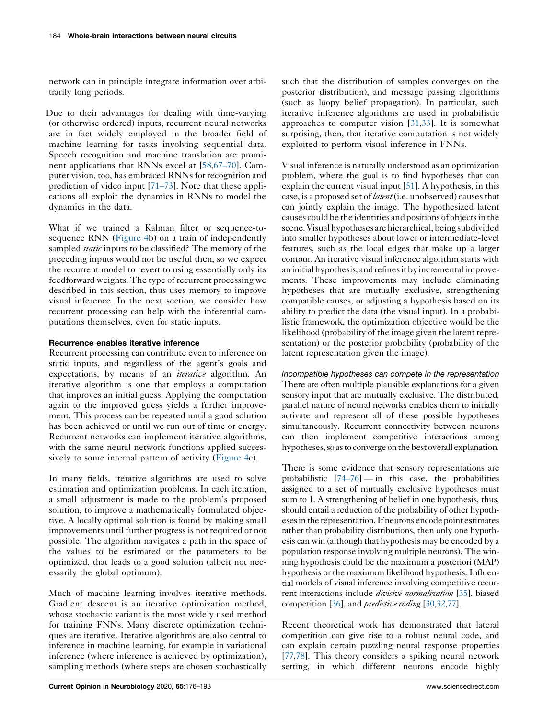network can in principle integrate information over arbitrarily long periods.

Due to their advantages for dealing with time-varying (or otherwise ordered) inputs, recurrent neural networks are in fact widely employed in the broader field of machine learning for tasks involving sequential data. Speech recognition and machine translation are prominent applications that RNNs excel at [\[58](#page-15-0),[67–70\]](#page-15-0). Computer vision, too, has embraced RNNs for recognition and prediction of video input [\[71–73](#page-16-0)]. Note that these applications all exploit the dynamics in RNNs to model the dynamics in the data.

What if we trained a Kalman filter or sequence-tosequence RNN [\(Figure](#page-6-0) 4b) on a train of independently sampled *static* inputs to be classified? The memory of the preceding inputs would not be useful then, so we expect the recurrent model to revert to using essentially only its feedforward weights. The type of recurrent processing we described in this section, thus uses memory to improve visual inference. In the next section, we consider how recurrent processing can help with the inferential computations themselves, even for static inputs.

# Recurrence enables iterative inference

Recurrent processing can contribute even to inference on static inputs, and regardless of the agent's goals and expectations, by means of an *iterative* algorithm. An iterative algorithm is one that employs a computation that improves an initial guess. Applying the computation again to the improved guess yields a further improvement. This process can be repeated until a good solution has been achieved or until we run out of time or energy. Recurrent networks can implement iterative algorithms, with the same neural network functions applied succes-sively to some internal pattern of activity [\(Figure](#page-6-0) 4c).

In many fields, iterative algorithms are used to solve estimation and optimization problems. In each iteration, a small adjustment is made to the problem's proposed solution, to improve a mathematically formulated objective. A locally optimal solution is found by making small improvements until further progress is not required or not possible. The algorithm navigates a path in the space of the values to be estimated or the parameters to be optimized, that leads to a good solution (albeit not necessarily the global optimum).

Much of machine learning involves iterative methods. Gradient descent is an iterative optimization method, whose stochastic variant is the most widely used method for training FNNs. Many discrete optimization techniques are iterative. Iterative algorithms are also central to inference in machine learning, for example in variational inference (where inference is achieved by optimization), sampling methods (where steps are chosen stochastically

such that the distribution of samples converges on the posterior distribution), and message passing algorithms (such as loopy belief propagation). In particular, such iterative inference algorithms are used in probabilistic approaches to computer vision [\[31](#page-15-0),[33\]](#page-15-0). It is somewhat surprising, then, that iterative computation is not widely exploited to perform visual inference in FNNs.

Visual inference is naturally understood as an optimization problem, where the goal is to find hypotheses that can explain the current visual input [\[51](#page-15-0)]. A hypothesis, in this case, is a proposed set of *latent* (i.e. unobserved) causes that can jointly explain the image. The hypothesized latent causes could be the identities andpositions of objectsin the scene.Visualhypotheses arehierarchical,being subdivided into smaller hypotheses about lower or intermediate-level features, such as the local edges that make up a larger contour. An iterative visual inference algorithm starts with an initial hypothesis, and refines it by incremental improvements. These improvements may include eliminating hypotheses that are mutually exclusive, strengthening compatible causes, or adjusting a hypothesis based on its ability to predict the data (the visual input). In a probabilistic framework, the optimization objective would be the likelihood (probability of the image given the latent representation) or the posterior probability (probability of the latent representation given the image).

Incompatible hypotheses can compete in the representation There are often multiple plausible explanations for a given sensory input that are mutually exclusive. The distributed, parallel nature of neural networks enables them to initially activate and represent all of these possible hypotheses simultaneously. Recurrent connectivity between neurons can then implement competitive interactions among hypotheses, so as to converge on the best overall explanation.

There is some evidence that sensory representations are probabilistic  $[74–76]$  $[74–76]$  — in this case, the probabilities assigned to a set of mutually exclusive hypotheses must sum to 1. A strengthening of belief in one hypothesis, thus, should entail a reduction of the probability of other hypothesesinthe representation.Ifneurons encodepoint estimates rather than probability distributions, then only one hypothesis can win (although that hypothesis may be encoded by a population response involving multiple neurons). The winning hypothesis could be the maximum a posteriori (MAP) hypothesis or the maximum likelihood hypothesis. Influential models of visual inference involving competitive recurrent interactions include *divisive normalization* [[35](#page-15-0)], biased competition [\[36](#page-15-0)], and predictive coding [\[30,32,](#page-15-0)[77\]](#page-16-0).

Recent theoretical work has demonstrated that lateral competition can give rise to a robust neural code, and can explain certain puzzling neural response properties [\[77](#page-16-0),[78\]](#page-16-0). This theory considers a spiking neural network setting, in which different neurons encode highly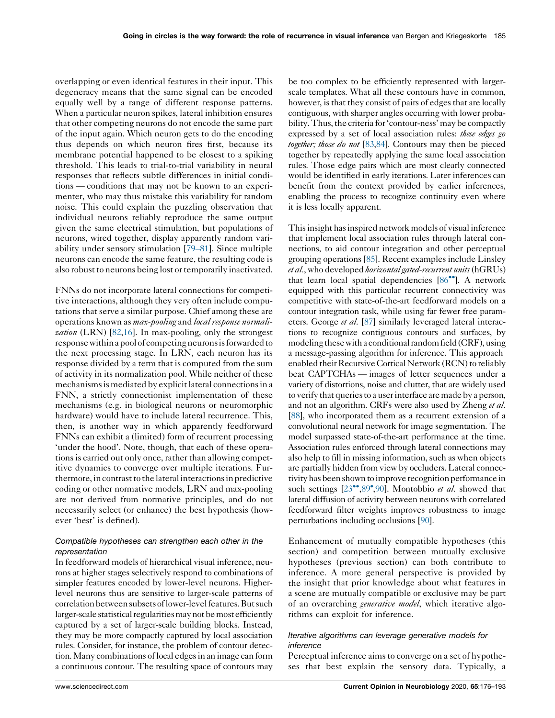overlapping or even identical features in their input. This degeneracy means that the same signal can be encoded equally well by a range of different response patterns. When a particular neuron spikes, lateral inhibition ensures that other competing neurons do not encode the same part of the input again. Which neuron gets to do the encoding thus depends on which neuron fires first, because its membrane potential happened to be closest to a spiking threshold. This leads to trial-to-trial variability in neural responses that reflects subtle differences in initial conditions — conditions that may not be known to an experimenter, who may thus mistake this variability for random noise. This could explain the puzzling observation that individual neurons reliably reproduce the same output given the same electrical stimulation, but populations of neurons, wired together, display apparently random variability under sensory stimulation [[79–81\]](#page-16-0). Since multiple neurons can encode the same feature, the resulting code is also robust to neurons being lost or temporarily inactivated.

FNNs do not incorporate lateral connections for competitive interactions, although they very often include computations that serve a similar purpose. Chief among these are operations known as *max-pooling* and *local response normali-*zation (LRN) [[82](#page-16-0)[,16](#page-14-0)]. In max-pooling, only the strongest response within a pool of competing neurons is forwarded to the next processing stage. In LRN, each neuron has its response divided by a term that is computed from the sum of activity in its normalization pool. While neither of these mechanisms is mediated by explicit lateral connections in a FNN, a strictly connectionist implementation of these mechanisms (e.g. in biological neurons or neuromorphic hardware) would have to include lateral recurrence. This, then, is another way in which apparently feedforward FNNs can exhibit a (limited) form of recurrent processing 'under the hood'. Note, though, that each of these operations is carried out only once, rather than allowing competitive dynamics to converge over multiple iterations. Furthermore, in contrast to the lateral interactions in predictive coding or other normative models, LRN and max-pooling are not derived from normative principles, and do not necessarily select (or enhance) the best hypothesis (however 'best' is defined).

# Compatible hypotheses can strengthen each other in the representation

In feedforward models of hierarchical visual inference, neurons at higher stages selectively respond to combinations of simpler features encoded by lower-level neurons. Higherlevel neurons thus are sensitive to larger-scale patterns of correlation between subsets of lower-level features. But such larger-scale statistical regularities may not be most efficiently captured by a set of larger-scale building blocks. Instead, they may be more compactly captured by local association rules. Consider, for instance, the problem of contour detection. Many combinations of local edges in an image can form a continuous contour. The resulting space of contours may

be too complex to be efficiently represented with largerscale templates. What all these contours have in common, however, is that they consist of pairs of edges that are locally contiguous, with sharper angles occurring with lower probability. Thus, the criteria for 'contour-ness' may be compactly expressed by a set of local association rules: *these edges go* together; those do not [\[83,84](#page-16-0)]. Contours may then be pieced together by repeatedly applying the same local association rules. Those edge pairs which are most clearly connected would be identified in early iterations. Later inferences can benefit from the context provided by earlier inferences, enabling the process to recognize continuity even where it is less locally apparent.

This insight has inspired network models of visual inference that implement local association rules through lateral connections, to aid contour integration and other perceptual grouping operations [\[85](#page-16-0)]. Recent examples include Linsley et al., who developed horizontalgated-recurrent units (hGRUs) that learn local spatial dependencies  $[86\text{''}]$  $[86\text{''}]$ . A network equipped with this particular recurrent connectivity was competitive with state-of-the-art feedforward models on a contour integration task, while using far fewer free parameters. George *et al.* [\[87\]](#page-16-0) similarly leveraged lateral interactions to recognize contiguous contours and surfaces, by modeling thesewitha conditional random field(CRF), using a message-passing algorithm for inference. This approach enabled their Recursive Cortical Network (RCN) to reliably beat CAPTCHAs — images of letter sequences under a variety of distortions, noise and clutter, that are widely used to verify that queriesto a userinterface are made by a person, and not an algorithm. CRFs were also used by Zheng et al. [\[88](#page-16-0)], who incorporated them as a recurrent extension of a convolutional neural network for image segmentation. The model surpassed state-of-the-art performance at the time. Association rules enforced through lateral connections may also help to fill in missing information, such as when objects are partially hidden from view by occluders. Lateral connectivityhasbeenshownto improve recognition performance in such settings [[23](#page-14-0)<sup>\*\*</sup>[,89](#page-16-0)<sup>\*</sup>[,90](#page-16-0)]. Montobbio et al. showed that lateral diffusion of activity between neurons with correlated feedforward filter weights improves robustness to image perturbations including occlusions [\[90\]](#page-16-0).

Enhancement of mutually compatible hypotheses (this section) and competition between mutually exclusive hypotheses (previous section) can both contribute to inference. A more general perspective is provided by the insight that prior knowledge about what features in a scene are mutually compatible or exclusive may be part of an overarching *generative model*, which iterative algorithms can exploit for inference.

## Iterative algorithms can leverage generative models for inference

Perceptual inference aims to converge on a set of hypotheses that best explain the sensory data. Typically, a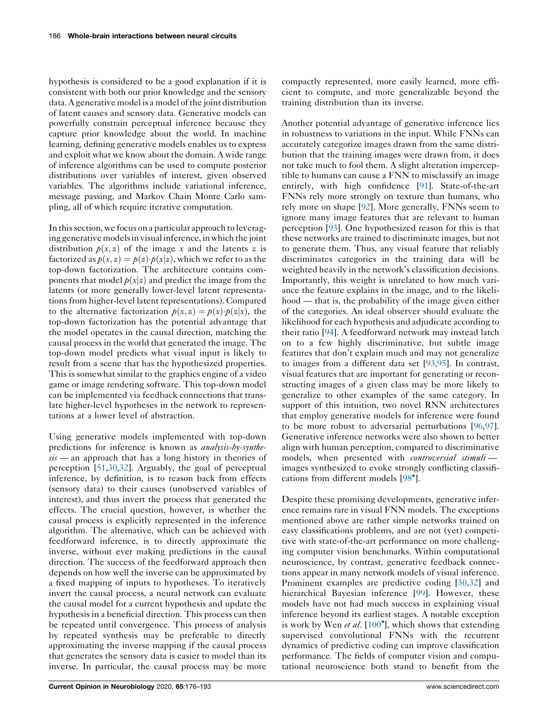hypothesis is considered to be a good explanation if it is consistent with both our prior knowledge and the sensory data. A generative model is a model of the joint distribution of latent causes and sensory data. Generative models can powerfully constrain perceptual inference because they capture prior knowledge about the world. In machine learning, defining generative models enables us to express and exploit what we know about the domain. A wide range of inference algorithms can be used to compute posterior distributions over variables of interest, given observed variables. The algorithms include variational inference, message passing, and Markov Chain Monte Carlo sampling, all of which require iterative computation.

In thissection, we focus on a particular approach to leveraging generative models in visual inference, in which the joint distribution  $p(x, z)$  of the image x and the latents z is factorized as  $p(x, z) = p(z) \cdot p(x|z)$ , which we refer to as the top-down factorization. The architecture contains components that model  $p(x|z)$  and predict the image from the latents (or more generally lower-level latent representationsfrom higher-level latent representations). Compared to the alternative factorization  $p(x, z) = p(x) \cdot p(z|x)$ , the top-down factorization has the potential advantage that the model operates in the causal direction, matching the causal process in the world that generated the image. The top-down model predicts what visual input is likely to result from a scene that has the hypothesized properties. This is somewhat similar to the graphics engine of a video game or image rendering software. This top-down model can be implemented via feedback connections that translate higher-level hypotheses in the network to representations at a lower level of abstraction.

Using generative models implemented with top-down predictions for inference is known as analysis-by-synthe $sis$  — an approach that has a long history in theories of perception [[51,30](#page-15-0),[32\]](#page-15-0). Arguably, the goal of perceptual inference, by definition, is to reason back from effects (sensory data) to their causes (unobserved variables of interest), and thus invert the process that generated the effects. The crucial question, however, is whether the causal process is explicitly represented in the inference algorithm. The alternative, which can be achieved with feedforward inference, is to directly approximate the inverse, without ever making predictions in the causal direction. The success of the feedforward approach then depends on how well the inverse can be approximated by a fixed mapping of inputs to hypotheses. To iteratively invert the causal process, a neural network can evaluate the causal model for a current hypothesis and update the hypothesis in a beneficial direction. This process can then be repeated until convergence. This process of analysis by repeated synthesis may be preferable to directly approximating the inverse mapping if the causal process that generates the sensory data is easier to model than its inverse. In particular, the causal process may be more

compactly represented, more easily learned, more efficient to compute, and more generalizable beyond the training distribution than its inverse.

Another potential advantage of generative inference lies in robustness to variations in the input. While FNNs can accurately categorize images drawn from the same distribution that the training images were drawn from, it does not take much to fool them. A slight alteration imperceptible to humans can cause a FNN to misclassify an image entirely, with high confidence [\[91](#page-16-0)]. State-of-the-art FNNs rely more strongly on texture than humans, who rely more on shape [[92\]](#page-16-0). More generally, FNNs seem to ignore many image features that are relevant to human perception [[93\]](#page-16-0). One hypothesized reason for this is that these networks are trained to discriminate images, but not to generate them. Thus, any visual feature that reliably discriminates categories in the training data will be weighted heavily in the network's classification decisions. Importantly, this weight is unrelated to how much variance the feature explains in the image, and to the likelihood — that is, the probability of the image given either of the categories. An ideal observer should evaluate the likelihood for each hypothesis and adjudicate according to their ratio [[94\]](#page-16-0). A feedforward network may instead latch on to a few highly discriminative, but subtle image features that don't explain much and may not generalize to images from a different data set [\[93](#page-16-0),[95\]](#page-16-0). In contrast, visual features that are important for generating or reconstructing images of a given class may be more likely to generalize to other examples of the same category. In support of this intuition, two novel RNN architectures that employ generative models for inference were found to be more robust to adversarial perturbations [\[96](#page-16-0),[97](#page-16-0)]. Generative inference networks were also shown to better align with human perception, compared to discriminative models, when presented with controversial stimuliimages synthesized to evoke strongly conflicting classifications from different models [[98](#page-16-0) ].

Despite these promising developments, generative inference remains rare in visual FNN models. The exceptions mentioned above are rather simple networks trained on easy classifications problems, and are not (yet) competitive with state-of-the-art performance on more challenging computer vision benchmarks. Within computational neuroscience, by contrast, generative feedback connections appear in many network models of visual inference. Prominent examples are predictive coding [[30,32](#page-15-0)] and hierarchical Bayesian inference [\[99](#page-16-0)]. However, these models have not had much success in explaining visual inference beyond its earliest stages. A notable exception is work by Wen et al. [[100](#page-16-0)<sup>°</sup>], which shows that extending supervised convolutional FNNs with the recurrent dynamics of predictive coding can improve classification performance. The fields of computer vision and computational neuroscience both stand to benefit from the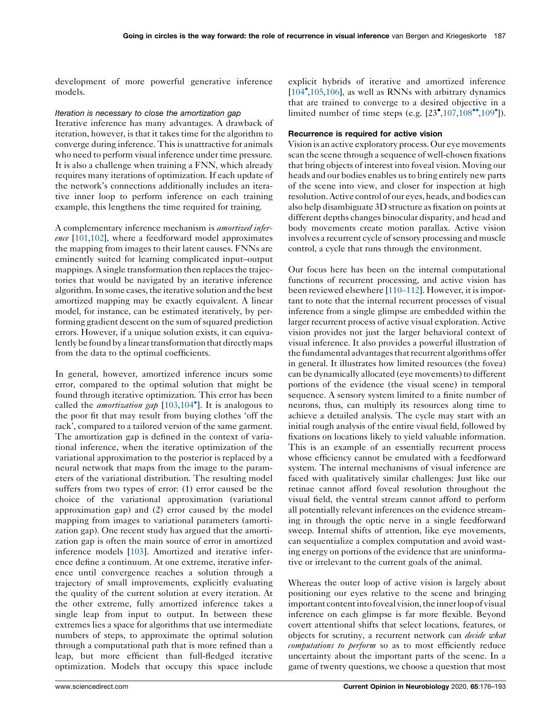development of more powerful generative inference models.

#### Iteration is necessary to close the amortization gap

Iterative inference has many advantages. A drawback of iteration, however, is that it takes time for the algorithm to converge during inference. This is unattractive for animals who need to perform visual inference under time pressure. It is also a challenge when training a FNN, which already requires many iterations of optimization. If each update of the network's connections additionally includes an iterative inner loop to perform inference on each training example, this lengthens the time required for training.

A complementary inference mechanism is amortized infer-ence [[101](#page-16-0),[102\]](#page-16-0), where a feedforward model approximates the mapping from images to their latent causes. FNNs are eminently suited for learning complicated input–output mappings. A single transformation then replaces the trajectories that would be navigated by an iterative inference algorithm. In some cases, the iterative solution and the best amortized mapping may be exactly equivalent. A linear model, for instance, can be estimated iteratively, by performing gradient descent on the sum of squared prediction errors. However, if a unique solution exists, it can equivalently be found by a linear transformation that directly maps from the data to the optimal coefficients.

In general, however, amortized inference incurs some error, compared to the optimal solution that might be found through iterative optimization. This error has been called the *amortization gap*  $[103, 104^{\circ}]$  $[103, 104^{\circ}]$  $[103, 104^{\circ}]$ . It is [analogous](#page-16-0) to the poor fit that may result from buying clothes 'off the rack', compared to a tailored version of the same garment. The amortization gap is defined in the context of variational inference, when the iterative optimization of the variational approximation to the posterior is replaced by a neural network that maps from the image to the parameters of the variational distribution. The resulting model suffers from two types of error: (1) error caused be the choice of the variational approximation (variational approximation gap) and (2) error caused by the model mapping from images to variational parameters (amortization gap). One recent study has argued that the amortization gap is often the main source of error in amortized inference models [[103\]](#page-16-0). Amortized and iterative inference define a continuum. At one extreme, iterative inference until convergence reaches a solution through a trajectory of small improvements, explicitly evaluating the quality of the current solution at every iteration. At the other extreme, fully amortized inference takes a single leap from input to output. In between these extremes lies a space for algorithms that use intermediate numbers of steps, to approximate the optimal solution through a computational path that is more refined than a leap, but more efficient than full-fledged iterative optimization. Models that occupy this space include explicit hybrids of iterative and amortized inference [[104](#page-16-0) [,105](#page-16-0),[106\]](#page-17-0), as well as RNNs with arbitrary dynamics that are trained to converge to a desired objective in a limited number of time steps (e.g.  $[23^{\bullet},107,108^{\bullet\bullet},109^{\bullet}])$  $[23^{\bullet},107,108^{\bullet\bullet},109^{\bullet}])$  $[23^{\bullet},107,108^{\bullet\bullet},109^{\bullet}])$  $[23^{\bullet},107,108^{\bullet\bullet},109^{\bullet}])$  $[23^{\bullet},107,108^{\bullet\bullet},109^{\bullet}])$ .

# Recurrence is required for active vision

Vision is an active exploratory process.Our eye movements scan the scene through a sequence of well-chosen fixations that bring objects of interest into foveal vision. Moving our heads and our bodies enables us to bring entirely new parts of the scene into view, and closer for inspection at high resolution.Active control of our eyes, heads, and bodies can also help disambiguate 3D structure as fixation on points at different depths changes binocular disparity, and head and body movements create motion parallax. Active vision involves a recurrent cycle of sensory processing and muscle control, a cycle that runs through the environment.

Our focus here has been on the internal computational functions of recurrent processing, and active vision has been reviewed elsewhere [[110–112](#page-17-0)]. However, it is important to note that the internal recurrent processes of visual inference from a single glimpse are embedded within the larger recurrent process of active visual exploration. Active vision provides not just the larger behavioral context of visual inference. It also provides a powerful illustration of the fundamental advantages that recurrent algorithms offer in general. It illustrates how limited resources (the fovea) can be dynamically allocated (eye movements) to different portions of the evidence (the visual scene) in temporal sequence. A sensory system limited to a finite number of neurons, thus, can multiply its resources along time to achieve a detailed analysis. The cycle may start with an initial rough analysis of the entire visual field, followed by fixations on locations likely to yield valuable information. This is an example of an essentially recurrent process whose efficiency cannot be emulated with a feedforward system. The internal mechanisms of visual inference are faced with qualitatively similar challenges: Just like our retinae cannot afford foveal resolution throughout the visual field, the ventral stream cannot afford to perform all potentially relevant inferences on the evidence streaming in through the optic nerve in a single feedforward sweep. Internal shifts of attention, like eye movements, can sequentialize a complex computation and avoid wasting energy on portions of the evidence that are uninformative or irrelevant to the current goals of the animal.

Whereas the outer loop of active vision is largely about positioning our eyes relative to the scene and bringing important content into foveal vision, the innerloop of visual inference on each glimpse is far more flexible. Beyond covert attentional shifts that select locations, features, or objects for scrutiny, a recurrent network can *decide what* computations to perform so as to most efficiently reduce uncertainty about the important parts of the scene. In a game of twenty questions, we choose a question that most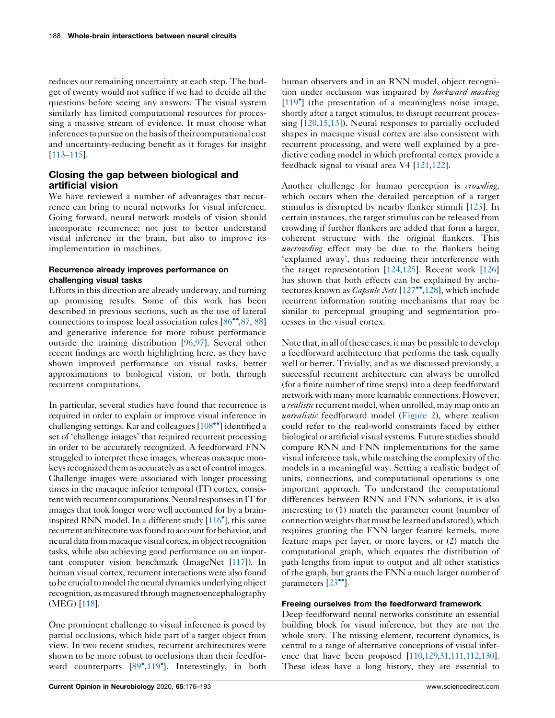reduces our remaining uncertainty at each step. The budget of twenty would not suffice if we had to decide all the questions before seeing any answers. The visual system similarly has limited computational resources for processing a massive stream of evidence. It must choose what inferences to pursue on the basis of their computational cost and uncertainty-reducing benefit as it forages for insight [\[113–115\]](#page-17-0).

# Closing the gap between biological and artificial vision

We have reviewed a number of advantages that recurrence can bring to neural networks for visual inference. Going forward, neural network models of vision should incorporate recurrence; not just to better understand visual inference in the brain, but also to improve its implementation in machines.

# Recurrence already improves performance on challenging visual tasks

Efforts in this direction are already underway, and turning up promising results. Some of this work has been described in previous sections, such as the use of lateral connections to impose local association rules  $[86\degree, 87, 88]$  $[86\degree, 87, 88]$  $[86\degree, 87, 88]$  $[86\degree, 87, 88]$  $[86\degree, 87, 88]$ and generative inference for more robust performance outside the training distribution [\[96](#page-16-0),[97\]](#page-16-0). Several other recent findings are worth highlighting here, as they have shown improved performance on visual tasks, better approximations to biological vision, or both, through recurrent computations.

In particular, several studies have found that recurrence is required in order to explain or improve visual inference in challenging settings. Kar and colleagues  $[108\textdegree]$  [identified](#page-17-0) a set of 'challenge images' that required recurrent processing in order to be accurately recognized. A feedforward FNN struggled to interpret these images, whereas macaque monkeys recognized them as accurately as a set of control images. Challenge images were associated with longer processing times in the macaque inferior temporal (IT) cortex, consistent with recurrent computations. Neural responses in IT for images that took longer were well accounted for by a braininspired RNN model. In a different study [\[116](#page-17-0) ], this same recurrent architecture was found to account for behavior, and neural data from macaque visual cortex, in object recognition tasks, while also achieving good performance on an important computer vision benchmark (ImageNet [\[117\]](#page-17-0)). In human visual cortex, recurrent interactions were also found to be crucial to model the neural dynamics underlying object recognition, as measured through magnetoencephalography (MEG) [\[118\]](#page-17-0).

One prominent challenge to visual inference is posed by partial occlusions, which hide part of a target object from view. In two recent studies, recurrent architectures were shown to be more robust to occlusions than their feedfor-ward counterparts [[89](#page-16-0)<sup>°</sup>[,119](#page-17-0)<sup>°</sup>]. Interestingly, in both

human observers and in an RNN model, object recognition under occlusion was impaired by *backward masking* [\[119](#page-17-0) ] (the presentation of a meaningless noise image, shortly after a target stimulus, to disrupt recurrent processing [[120](#page-17-0)[,15](#page-14-0),[13\]](#page-14-0)). Neural responses to partially occluded shapes in macaque visual cortex are also consistent with recurrent processing, and were well explained by a predictive coding model in which prefrontal cortex provide a feedback signal to visual area V4 [\[121](#page-17-0),[122\]](#page-17-0).

Another challenge for human perception is *crowding*, which occurs when the detailed perception of a target stimulus is disrupted by nearby flanker stimuli [[123\]](#page-17-0). In certain instances, the target stimulus can be released from crowding if further flankers are added that form a larger, coherent structure with the original flankers. This uncrowding effect may be due to the flankers being 'explained away', thus reducing their interference with the target representation [[124,125](#page-17-0)]. Recent work [\[126\]](#page-17-0) has shown that both effects can be explained by architectures known as *Capsule Nets* [[127](#page-17-0)<sup>\*\*</sup>,[128\]](#page-17-0), which include recurrent information routing mechanisms that may be similar to perceptual grouping and segmentation processes in the visual cortex.

Note that, in all of these cases, it may be possible to develop a feedforward architecture that performs the task equally well or better. Trivially, and as we discussed previously, a successful recurrent architecture can always be unrolled (for a finite number of time steps) into a deep feedforward network with many more learnable connections. However, a *realistic* recurrent model, when unrolled, may map onto an unrealistic feedforward model ([Figure](#page-3-0) 2), where realism could refer to the real-world constraints faced by either biological or artificial visual systems. Future studies should compare RNN and FNN implementations for the same visual inference task, while matching the complexity of the models in a meaningful way. Setting a realistic budget of units, connections, and computational operations is one important approach. To understand the computational differences between RNN and FNN solutions, it is also interesting to (1) match the parameter count (number of connection weights that must be learned and stored), which requires granting the FNN larger feature kernels, more feature maps per layer, or more layers, or (2) match the computational graph, which equates the distribution of path lengths from input to output and all other statistics of the graph, but grants the FNN a much larger number of parameters  $[23$ <sup> $\bullet$ </sup>].

# Freeing ourselves from the feedforward framework

Deep feedforward neural networks constitute an essential building block for visual inference, but they are not the whole story. The missing element, recurrent dynamics, is central to a range of alternative conceptions of visual inference that have been proposed [[110](#page-17-0),[129](#page-17-0),[31](#page-15-0),[111,112,130\]](#page-17-0). These ideas have a long history, they are essential to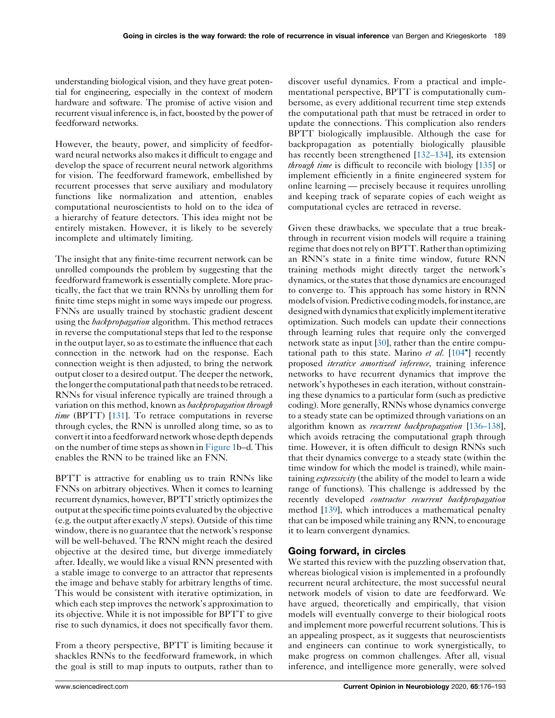understanding biological vision, and they have great potential for engineering, especially in the context of modern hardware and software. The promise of active vision and recurrent visual inference is, in fact, boosted by the power of feedforward networks.

However, the beauty, power, and simplicity of feedforward neural networks also makes it difficult to engage and develop the space of recurrent neural network algorithms for vision. The feedforward framework, embellished by recurrent processes that serve auxiliary and modulatory functions like normalization and attention, enables computational neuroscientists to hold on to the idea of a hierarchy of feature detectors. This idea might not be entirely mistaken. However, it is likely to be severely incomplete and ultimately limiting.

The insight that any finite-time recurrent network can be unrolled compounds the problem by suggesting that the feedforward framework is essentially complete. More practically, the fact that we train RNNs by unrolling them for finite time steps might in some ways impede our progress. FNNs are usually trained by stochastic gradient descent using the *backpropagation* algorithm. This method retraces in reverse the computational steps that led to the response in the output layer, so as to estimate the influence that each connection in the network had on the response. Each connection weight is then adjusted, to bring the network output closer to a desired output. The deeper the network, the longer the computational path that needs to be retraced. RNNs for visual inference typically are trained through a variation on this method, known as *backpropagation through* time (BPTT) [\[131](#page-17-0)]. To retrace computations in reverse through cycles, the RNN is unrolled along time, so as to convertitinto a feedforwardnetworkwhosedepthdepends on the number of time steps asshown in [Figure](#page-2-0) 1b–d. This enables the RNN to be trained like an FNN.

BPTT is attractive for enabling us to train RNNs like FNNs on arbitrary objectives. When it comes to learning recurrent dynamics, however, BPTT strictly optimizes the output atthe specific time points evaluated by the objective (e.g. the output after exactly  $N$  steps). Outside of this time window, there is no guarantee that the network's response will be well-behaved. The RNN might reach the desired objective at the desired time, but diverge immediately after. Ideally, we would like a visual RNN presented with a stable image to converge to an attractor that represents the image and behave stably for arbitrary lengths of time. This would be consistent with iterative optimization, in which each step improves the network's approximation to its objective. While it is not impossible for BPTT to give rise to such dynamics, it does not specifically favor them.

From a theory perspective, BPTT is limiting because it shackles RNNs to the feedforward framework, in which the goal is still to map inputs to outputs, rather than to

discover useful dynamics. From a practical and implementational perspective, BPTT is computationally cumbersome, as every additional recurrent time step extends the computational path that must be retraced in order to update the connections. This complication also renders BPTT biologically implausible. Although the case for backpropagation as potentially biologically plausible has recently been strengthened [[132–134\]](#page-17-0), its extension through time is difficult to reconcile with biology [[135\]](#page-17-0) or implement efficiently in a finite engineered system for online learning — precisely because it requires unrolling and keeping track of separate copies of each weight as computational cycles are retraced in reverse.

Given these drawbacks, we speculate that a true breakthrough in recurrent vision models will require a training regime that does not rely on BPTT. Rather than optimizing an RNN's state in a finite time window, future RNN training methods might directly target the network's dynamics, or the states that those dynamics are encouraged to converge to. This approach has some history in RNN models of vision. Predictive coding models, for instance, are designed with dynamics that explicitly implement iterative optimization. Such models can update their connections through learning rules that require only the converged network state as input [[30](#page-15-0)], rather than the entire computational path to this state. Marino et al.  $[104^{\circ}]$  [recently](#page-16-0) proposed iterative amortized inference, training inference networks to have recurrent dynamics that improve the network's hypotheses in each iteration, without constraining these dynamics to a particular form (such as predictive coding). More generally, RNNs whose dynamics converge to a steady state can be optimized through variations on an algorithm known as *recurrent backpropagation* [136-138], which avoids retracing the computational graph through time. However, it is often difficult to design RNNs such that their dynamics converge to a steady state (within the time window for which the model is trained), while maintaining expressivity (the ability of the model to learn a wide range of functions). This challenge is addressed by the recently developed *contractor recurrent backpropagation* method [[139](#page-17-0)], which introduces a mathematical penalty that can be imposed while training any RNN, to encourage it to learn convergent dynamics.

# Going forward, in circles

We started this review with the puzzling observation that, whereas biological vision is implemented in a profoundly recurrent neural architecture, the most successful neural network models of vision to date are feedforward. We have argued, theoretically and empirically, that vision models will eventually converge to their biological roots and implement more powerful recurrent solutions. This is an appealing prospect, as it suggests that neuroscientists and engineers can continue to work synergistically, to make progress on common challenges. After all, visual inference, and intelligence more generally, were solved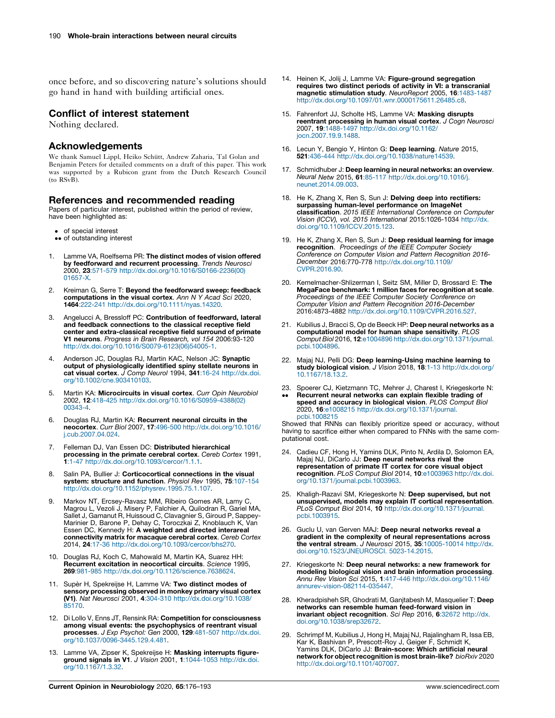<span id="page-14-0"></span>once before, and so discovering nature's solutions should go hand in hand with building artificial ones.

# Conflict of interest statement

Nothing declared.

## Acknowledgements

We thank Samuel Lippl, Heiko Schütt, Andrew Zaharia, Tal Golan and Benjamin Peters for detailed comments on a draft of this paper. This work was supported by a Rubicon grant from the Dutch Research Council (to RSvB).

# References and recommended reading

Papers of particular interest, published within the period of review, have been highlighted as:

- of special interest
- •• of outstanding interest
- 1. Lamme VA, Roelfsema PR: The distinct modes of vision offered **by feedforward and recurrent processing**. *Trends Neurosci*<br>2000, **23**:571-579 [http://dx.doi.org/10.1016/S0166-2236\(00\)](http://dx.doi.org/10.1016/S0166-2236(00)01657-X) [01657-X](http://dx.doi.org/10.1016/S0166-2236(00)01657-X).
- 2. Kreiman G, Serre T: Beyond the feedforward sweep: feedback computations in the visual cortex. Ann N Y Acad Sci 2020, 1464:222-241 [http://dx.doi.org/10.1111/nyas.14320.](http://dx.doi.org/10.1111/nyas.14320)
- Angelucci A, Bressloff PC: Contribution of feedforward, lateral and feedback connections to the classical receptive field center and extra-classical receptive field surround of primate V1 neurons. Progress in Brain Research, vol 154 2006:93-120 [http://dx.doi.org/10.1016/S0079-6123\(06\)54005-1](http://dx.doi.org/10.1016/S0079-6123(06)54005-1).
- 4. Anderson JC, Douglas RJ, Martin KAC, Nelson JC: Synaptic output of physiologically identified spiny stellate neurons in cat visual cortex. J Comp Neurol 1994, 341:16-24 [http://dx.doi.](http://dx.doi.org/10.1002/cne.903410103) [org/10.1002/cne.903410103.](http://dx.doi.org/10.1002/cne.903410103)
- 5. Martin KA: Microcircuits in visual cortex. Curr Opin Neurobiol 2002, 12:418-425 [http://dx.doi.org/10.1016/S0959-4388\(02\)](http://dx.doi.org/10.1016/S0959-4388(02)00343-4) [00343-4.](http://dx.doi.org/10.1016/S0959-4388(02)00343-4)
- 6. Douglas RJ, Martin KA: Recurrent neuronal circuits in the neocortex. Curr Biol 2007, 17:496-500 [http://dx.doi.org/10.1016/](http://dx.doi.org/10.1016/j.cub.2007.04.024) [j.cub.2007.04.024](http://dx.doi.org/10.1016/j.cub.2007.04.024).
- Felleman DJ, Van Essen DC: Distributed hierarchical processing in the primate cerebral cortex. Cereb Cortex 1991, 1:1-47 [http://dx.doi.org/10.1093/cercor/1.1.1.](http://dx.doi.org/10.1093/cercor/1.1.1)
- 8. Salin PA, Bullier J: Corticocortical connections in the visual system: structure and function. Physiol Rev 1995, 75:107-154 <http://dx.doi.org/10.1152/physrev.1995.75.1.107>.
- 9. Markov NT, Ercsey-Ravasz MM, Ribeiro Gomes AR, Lamy C, Magrou L, Vezoli J, Misery P, Falchier A, Quilodran R, Gariel MA, Sallet J, Gamanut R, Huissoud C, Clavagnier S, Giroud P, Sappey-Marinier D, Barone P, Dehay C, Toroczkai Z, Knoblauch K, Van<br>Essen DC, Kennedy H: **A weighted and directed interareal** connectivity matrix for macaque cerebral cortex. Cereb Cortex 2014, 24:17-36 <http://dx.doi.org/10.1093/cercor/bhs270>.
- 10. Douglas RJ, Koch C, Mahowald M, Martin KA, Suarez HH: Recurrent excitation in neocortical circuits. Science 1995, 269:981-985 [http://dx.doi.org/10.1126/science.7638624.](http://dx.doi.org/10.1126/science.7638624)
- 11. Supèr H, Spekreijse H, Lamme VA: Two distinct modes of sensory processing observed in monkey primary visual cortex (V1). Nat Neurosci 2001, 4:304-310 [http://dx.doi.org/10.1038/](http://dx.doi.org/10.1038/85170) [85170.](http://dx.doi.org/10.1038/85170)
- 12. Di Lollo V, Enns JT, Rensink RA: Competition for consciousness among visual events: the psychophysics of reentrant visual processes. J Exp Psychol: Gen 2000, 129:481-507 [http://dx.doi.](http://dx.doi.org/10.1037/0096-3445.129.4.481) [org/10.1037/0096-3445.129.4.481](http://dx.doi.org/10.1037/0096-3445.129.4.481).
- 13. Lamme VA, Zipser K, Spekreijse H: Masking interrupts figureground signals in V1. J Vision 2001, 1:1044-1053 [http://dx.doi.](http://dx.doi.org/10.1167/1.3.32) [org/10.1167/1.3.32.](http://dx.doi.org/10.1167/1.3.32)
- 14. Heinen K, Jolij J, Lamme VA: Figure-ground segregation requires two distinct periods of activity in VI: a transcranial magnetic stimulation study. NeuroReport 2005, 16:1483-1487 [http://dx.doi.org/10.1097/01.wnr.0000175611.26485.c8.](http://dx.doi.org/10.1097/01.wnr.0000175611.26485.c8)
- 15. Fahrenfort JJ, Scholte HS, Lamme VA: Masking disrupts reentrant processing in human visual cortex. J Cogn Neurosci 2007, 19:1488-1497 [http://dx.doi.org/10.1162/](http://dx.doi.org/10.1162/jocn.2007.19.9.1488) [jocn.2007.19.9.1488](http://dx.doi.org/10.1162/jocn.2007.19.9.1488).
- 16. Lecun Y, Bengio Y, Hinton G: Deep learning. Nature 2015,<br>521:436-444 <http://dx.doi.org/10.1038/nature14539>.
- 17. Schmidhuber J: Deep learning in neural networks: an overview. Neural Netw 2015, 61:85-117 [http://dx.doi.org/10.1016/j.](http://dx.doi.org/10.1016/j.neunet.2014.09.003) [neunet.2014.09.003.](http://dx.doi.org/10.1016/j.neunet.2014.09.003)
- 18. He K, Zhang X, Ren S, Sun J: Delving deep into rectifiers: surpassing human-level performance on ImageNet classification. 2015 IEEE International Conference on Computer Vision (ICCV), vol. 2015 International 2015:1026-1034 [http://dx.](http://dx.doi.org/10.1109/ICCV.2015.123) [doi.org/10.1109/ICCV.2015.123](http://dx.doi.org/10.1109/ICCV.2015.123).
- 19. He K, Zhang X, Ren S, Sun J: Deep residual learning for image recognition. *Proceedings of the IEEE Computer Society* Conference on Computer Vision and Pattern Recognition 2016- December 2016:770-778 [http://dx.doi.org/10.1109/](http://dx.doi.org/10.1109/CVPR.2016.90) [CVPR.2016.90](http://dx.doi.org/10.1109/CVPR.2016.90).
- 20. Kemelmacher-Shlizerman I, Seitz SM, Miller D, Brossard E: The MegaFace benchmark: 1 million faces for recognition at scale. Proceedings of the IEEE Computer Society Conference on Computer Vision and Pattern Recognition 2016-December 2016:4873-4882 [http://dx.doi.org/10.1109/CVPR.2016.527.](http://dx.doi.org/10.1109/CVPR.2016.527)
- 21. Kubilius J, Bracci S, Op de Beeck HP: Deep neural networks as a computational model for human shape sensitivity. PLOS Comput Biol 2016, 12:e1004896 [http://dx.doi.org/10.1371/journal.](http://dx.doi.org/10.1371/journal.pcbi.1004896) [pcbi.1004896](http://dx.doi.org/10.1371/journal.pcbi.1004896).
- 22. Majaj NJ, Pelli DG: Deep learning-Using machine learning to study biological vision. J Vision 2018, 18:1-13 [http://dx.doi.org/](http://dx.doi.org/10.1167/18.13.2) [10.1167/18.13.2.](http://dx.doi.org/10.1167/18.13.2)
- 23. Spoerer CJ, Kietzmann TC, Mehrer J, Charest I, Kriegeskorte N:  $\ddot{\phantom{0}}$ Recurrent neural networks can explain flexible trading of speed and accuracy in biological vision. PLOS Comput Biol 2020, 16:e1008215 [http://dx.doi.org/10.1371/journal.](http://dx.doi.org/10.1371/journal.pcbi.1008215) [pcbi.1008215](http://dx.doi.org/10.1371/journal.pcbi.1008215)

Showed that RNNs can flexibly prioritize speed or accuracy, without having to sacrifice either when compared to FNNs with the same computational cost.

- 24. Cadieu CF, Hong H, Yamins DLK, Pinto N, Ardila D, Solomon EA, Majaj NJ, DiCarlo JJ: Deep neural networks rival the representation of primate IT cortex for core visual object recognition. PLoS Comput Biol 2014, 10:e1003963 [http://dx.doi.](http://dx.doi.org/10.1371/journal.pcbi.1003963) [org/10.1371/journal.pcbi.1003963.](http://dx.doi.org/10.1371/journal.pcbi.1003963)
- 25. Khaligh-Razavi SM, Kriegeskorte N: Deep supervised, but not unsupervised, models may explain IT cortical representation. PLoS Comput Biol 2014, 10 [http://dx.doi.org/10.1371/journal.](http://dx.doi.org/10.1371/journal.pcbi.1003915) [pcbi.1003915](http://dx.doi.org/10.1371/journal.pcbi.1003915).
- 26. Guclu U, van Gerven MAJ: Deep neural networks reveal a gradient in the complexity of neural representations across the ventral stream. J Neurosci 2015, 35:10005-10014 [http://dx.](http://dx.doi.org/10.1523/JNEUROSCI. 5023-14.2015) [doi.org/10.1523/JNEUROSCI.](http://dx.doi.org/10.1523/JNEUROSCI. 5023-14.2015) 5023-14.2015.
- 27. Kriegeskorte N: Deep neural networks: a new framework for modeling biological vision and brain information processing. Annu Rev Vision Sci 2015, 1:417-446 [http://dx.doi.org/10.1146/](http://dx.doi.org/10.1146/annurev-vision-082114-035447) [annurev-vision-082114-035447.](http://dx.doi.org/10.1146/annurev-vision-082114-035447)
- 28. Kheradpisheh SR, Ghodrati M, Ganjtabesh M, Masquelier T: Deep networks can resemble human feed-forward vision in invariant object recognition. Sci Rep 2016, 6:32672 [http://dx.](http://dx.doi.org/10.1038/srep32672) [doi.org/10.1038/srep32672](http://dx.doi.org/10.1038/srep32672).
- 29. Schrimpf M, Kubilius J, Hong H, Majaj NJ, Rajalingham R, Issa EB, Kar K, Bashivan P, Prescott-Roy J, Geiger F, Schmidt K,<br>Yamins DLK, DiCarlo JJ: **Brain-score: Which artificial neural** network for object recognition is most brain-like? bioRxiv 2020 <http://dx.doi.org/10.1101/407007>.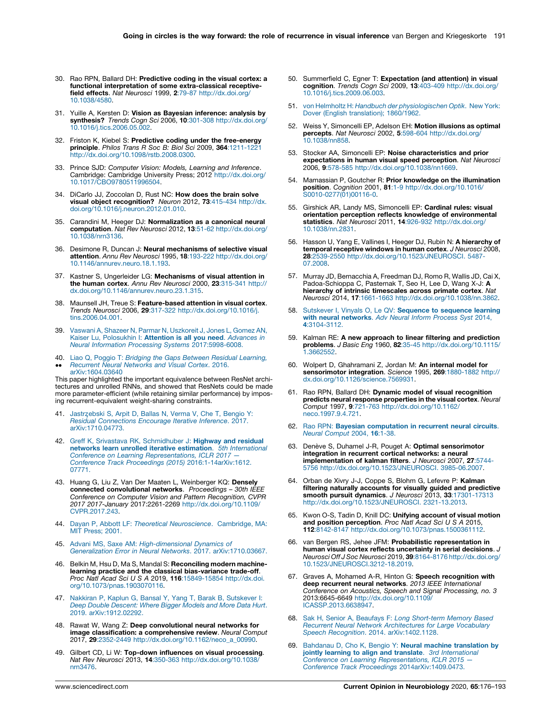- <span id="page-15-0"></span>30. Rao RPN, Ballard DH: Predictive coding in the visual cortex: a functional interpretation of some extra-classical receptivefield effects. Nat Neurosci 1999, 2:79-87 [http://dx.doi.org/](http://dx.doi.org/10.1038/4580) [10.1038/4580](http://dx.doi.org/10.1038/4580).
- 31. Yuille A, Kersten D: Vision as Bayesian inference: analysis by synthesis? Trends Cogn Sci 2006, 10:301-308 [http://dx.doi.org/](http://dx.doi.org/10.1016/j.tics.2006.05.002) [10.1016/j.tics.2006.05.002.](http://dx.doi.org/10.1016/j.tics.2006.05.002)
- 32. Friston K, Kiebel S: **Predictive coding under the free-energy**<br>**principle**. Philos Trans R Soc B: Biol Sci 2009, 364:1211-1221 [http://dx.doi.org/10.1098/rstb.2008.0300.](http://dx.doi.org/10.1098/rstb.2008.0300)
- 33. Prince SJD: Computer Vision: Models, Learning and Inference. Cambridge: Cambridge University Press; 2012 [http://dx.doi.org/](http://dx.doi.org/10.1017/CBO9780511996504) [10.1017/CBO9780511996504.](http://dx.doi.org/10.1017/CBO9780511996504)
- 34. DiCarlo JJ, Zoccolan D, Rust NC: How does the brain solve visual object recognition? Neuron 2012, 73:415-434 [http://dx.](http://dx.doi.org/10.1016/j.neuron.2012.01.010) [doi.org/10.1016/j.neuron.2012.01.010](http://dx.doi.org/10.1016/j.neuron.2012.01.010).
- 35. Carandini M, Heeger DJ: Normalization as a canonical neural computation. Nat Rev Neurosci 2012, 13:51-62 [http://dx.doi.org/](http://dx.doi.org/10.1038/nrn3136) [10.1038/nrn3136](http://dx.doi.org/10.1038/nrn3136).
- 36. Desimone R, Duncan J: Neural mechanisms of selective visual attention. Annu Rev Neurosci 1995, 18:193-222 [http://dx.doi.org/](http://dx.doi.org/10.1146/annurev.neuro.18.1.193) [10.1146/annurev.neuro.18.1.193.](http://dx.doi.org/10.1146/annurev.neuro.18.1.193)
- 37. Kastner S, Ungerleider LG: Mechanisms of visual attention in the human cortex. Annu Rev Neurosci 2000, 23:315-341 [http://](http://dx.doi.org/10.1146/annurev.neuro.23.1.315) [dx.doi.org/10.1146/annurev.neuro.23.1.315](http://dx.doi.org/10.1146/annurev.neuro.23.1.315).
- 38. Maunsell JH, Treue S: Feature-based attention in visual cortex. Trends Neurosci 2006, 29:317-322 [http://dx.doi.org/10.1016/j.](http://dx.doi.org/10.1016/j.tins.2006.04.001) [tins.2006.04.001.](http://dx.doi.org/10.1016/j.tins.2006.04.001)
- 39. Vaswani A, Shazeer N, Parmar N, [Uszkoreit](http://refhub.elsevier.com/S0959-4388(20)30176-8/sbref0195) J, Jones L, Gomez AN, Kaiser Lu, [Polosukhin](http://refhub.elsevier.com/S0959-4388(20)30176-8/sbref0195) I: Attention is all you need. Advances in Neural Information Processing Systems [2017:5998-6008.](http://refhub.elsevier.com/S0959-4388(20)30176-8/sbref0195)
- 40. Liao Q, Poggio T: Bridging the Gaps Between Residual [Learning,](http://refhub.elsevier.com/S0959-4388(20)30176-8/sbref0200)  $\ddot{\phantom{0}}$ [Recurrent](http://refhub.elsevier.com/S0959-4388(20)30176-8/sbref0200) Neural Networks and Visual Cortex. 2016. [arXiv:1604.03640](http://refhub.elsevier.com/S0959-4388(20)30176-8/sbref0200)

This paper highlighted the important equivalence between ResNet architectures and unrolled RNNs, and showed that ResNets could be made more parameter-efficient (while retaining similar performance) by imposing recurrent-equivalent weight-sharing constraints.

- 41. Jastrzebski S, Arpit D, Ballas N, Verma V, Che T, [Bengio](http://refhub.elsevier.com/S0959-4388(20)30176-8/sbref0205) Y: Residual [Connections](http://refhub.elsevier.com/S0959-4388(20)30176-8/sbref0205) Encourage Iterative Inference. 2017. [arXiv:1710.04773.](http://refhub.elsevier.com/S0959-4388(20)30176-8/sbref0205)
- 42. Greff K, Srivastava RK, [Schmidhuber](http://refhub.elsevier.com/S0959-4388(20)30176-8/sbref0210) J: **Highway and residual** networks learn unrolled iterative estimation. 5th [International](http://refhub.elsevier.com/S0959-4388(20)30176-8/sbref0210) Conference on Learning [Representations,](http://refhub.elsevier.com/S0959-4388(20)30176-8/sbref0210) ICLR 2017 Conference Track Proceedings (2015) [2016:1-14arXiv:1612.](http://refhub.elsevier.com/S0959-4388(20)30176-8/sbref0210) [07771.](http://refhub.elsevier.com/S0959-4388(20)30176-8/sbref0210)
- 43. Huang G, Liu Z, Van Der Maaten L, Weinberger KQ: Densely connected convolutional networks. Proceedings – 30th IEEE Conference on Computer Vision and Pattern Recognition, CVPR 2017 2017-January 2017:2261-2269 [http://dx.doi.org/10.1109/](http://dx.doi.org/10.1109/CVPR.2017.243) [CVPR.2017.243](http://dx.doi.org/10.1109/CVPR.2017.243).
- 44. Dayan P, Abbott LF: Theoretical [Neuroscience](http://refhub.elsevier.com/S0959-4388(20)30176-8/sbref0220). Cambridge, MA: MIT [Press;](http://refhub.elsevier.com/S0959-4388(20)30176-8/sbref0220) 2001.
- 45. Advani MS, Saxe AM: [High-dimensional](http://refhub.elsevier.com/S0959-4388(20)30176-8/sbref0225) Dynamics of Generalization Error in Neural Networks. 2017. [arXiv:1710.03667.](http://refhub.elsevier.com/S0959-4388(20)30176-8/sbref0225)
- 46. Belkin M, Hsu D, Ma S, Mandal S: Reconciling modern machinelearning practice and the classical bias-variance trade-off. Proc Natl Acad Sci U S A 2019, 116:15849-15854 [http://dx.doi.](http://dx.doi.org/10.1073/pnas.1903070116) [org/10.1073/pnas.1903070116](http://dx.doi.org/10.1073/pnas.1903070116).
- 47. Nakkiran P, Kaplun G, Bansal Y, Yang T, Barak B, [Sutskever](http://refhub.elsevier.com/S0959-4388(20)30176-8/sbref0235) I: Deep Double [Descent:](http://refhub.elsevier.com/S0959-4388(20)30176-8/sbref0235) Where Bigger Models and More Data Hurt. 2019. [arXiv:1912.02292.](http://refhub.elsevier.com/S0959-4388(20)30176-8/sbref0235)
- 48. Rawat W, Wang Z: Deep convolutional neural networks for image classification: a comprehensive review. Neural Comput 2017, 29:2352-2449 [http://dx.doi.org/10.1162/neco\\_a\\_00990](http://dx.doi.org/10.1162/neco_a_00990).
- 49. Gilbert CD, Li W: Top-down influences on visual processing. Nat Rev Neurosci 2013, 14:350-363 [http://dx.doi.org/10.1038/](http://dx.doi.org/10.1038/nrn3476) [nrn3476.](http://dx.doi.org/10.1038/nrn3476)
- 50. Summerfield C, Egner T: Expectation (and attention) in visual cognition. Trends Cogn Sci 2009, 13:403-409 [http://dx.doi.org/](http://dx.doi.org/10.1016/j.tics.2009.06.003) [10.1016/j.tics.2009.06.003.](http://dx.doi.org/10.1016/j.tics.2009.06.003)
- 51. von Helmholtz H: Handbuch der [physiologischen](http://refhub.elsevier.com/S0959-4388(20)30176-8/sbref0255) Optik. New York: Dover (English [translation\);](http://refhub.elsevier.com/S0959-4388(20)30176-8/sbref0255) 1860/1962.
- 52. Weiss Y, Simoncelli EP, Adelson EH: Motion illusions as optimal percepts. Nat Neurosci 2002, 5:598-604 [http://dx.doi.org/](http://dx.doi.org/10.1038/nn858) [10.1038/nn858.](http://dx.doi.org/10.1038/nn858)
- 53. Stocker AA, Simoncelli EP: Noise characteristics and prior expectations in human visual speed perception. Nat Neurosci 2006, 9:578-585 <http://dx.doi.org/10.1038/nn1669>.
- 54. Mamassian P, Goutcher R: Prior knowledge on the illumination position. Cognition 2001, 81:1-9 [http://dx.doi.org/10.1016/](http://dx.doi.org/10.1016/S0010-0277(01)00116-0) [S0010-0277\(01\)00116-0](http://dx.doi.org/10.1016/S0010-0277(01)00116-0).
- 55. Girshick AR, Landy MS, Simoncelli EP: Cardinal rules: visual orientation perception reflects knowledge of environmental statistics. Nat Neurosci 2011, 14:926-932 [http://dx.doi.org/](http://dx.doi.org/10.1038/nn.2831) [10.1038/nn.2831.](http://dx.doi.org/10.1038/nn.2831)
- 56. Hasson U, Yang E, Vallines I, Heeger DJ, Rubin N: A hierarchy of temporal receptive windows in human cortex. J Neurosci 2008, 28:2539-2550 [http://dx.doi.org/10.1523/JNEUROSCI.](http://dx.doi.org/10.1523/JNEUROSCI. 5487-07.2008) 5487- [07.2008.](http://dx.doi.org/10.1523/JNEUROSCI. 5487-07.2008)
- 57. Murray JD, Bernacchia A, Freedman DJ, Romo R, Wallis JD, Cai X, Padoa-Schioppa C, Pasternak T, Seo H, Lee D, Wang X-J: A hierarchy of intrinsic timescales across primate cortex. Nat Neurosci 2014, 17:1661-1663 [http://dx.doi.org/10.1038/nn.3862.](http://dx.doi.org/10.1038/nn.3862)
- 58. Sutskever I, Vinyals O, Le QV: [Sequence](http://refhub.elsevier.com/S0959-4388(20)30176-8/sbref0290) to sequence learning with neural [networks](http://refhub.elsevier.com/S0959-4388(20)30176-8/sbref0290). Adv Neural Inform Process Syst 2014, 4[:3104-3112.](http://refhub.elsevier.com/S0959-4388(20)30176-8/sbref0290)
- 59. Kalman RE: A new approach to linear filtering and prediction problems. J Basic Eng 1960, 82:35-45 [http://dx.doi.org/10.1115/](http://dx.doi.org/10.1115/1.3662552) [1.3662552.](http://dx.doi.org/10.1115/1.3662552)
- 60. Wolpert D, Ghahramani Z, Jordan M: An internal model for sensorimotor integration. Science 1995, 269:1880-1882 [http://](http://dx.doi.org/10.1126/science.7569931) [dx.doi.org/10.1126/science.7569931](http://dx.doi.org/10.1126/science.7569931).
- 61. Rao RPN, Ballard DH: Dynamic model of visual recognition predicts neural response properties in the visual cortex. Neural Comput 1997, 9:721-763 [http://dx.doi.org/10.1162/](http://dx.doi.org/10.1162/neco.1997.9.4.721) [neco.1997.9.4.721.](http://dx.doi.org/10.1162/neco.1997.9.4.721)
- 62. Rao RPN: **Bayesian [computation](http://refhub.elsevier.com/S0959-4388(20)30176-8/sbref0310) in recurrent neural circuits**.<br>Neural [Comput](http://refhub.elsevier.com/S0959-4388(20)30176-8/sbref0310) 2004, 16:1-38.
- 63. Denève S, Duhamel J-R, Pouget A: Optimal sensorimotor integration in recurrent cortical networks: a neural implementation of kalman filters. J Neurosci 2007, 27:5744- 5756 [http://dx.doi.org/10.1523/JNEUROSCI.](http://dx.doi.org/10.1523/JNEUROSCI. 3985-06.2007) 3985-06.2007.
- 64. Orban de Xivry J-J, Coppe S, Blohm G, Lefevre P: Kalman filtering naturally accounts for visually guided and predictive smooth pursuit dynamics. J Neurosci 2013, 33:17301-17313 [http://dx.doi.org/10.1523/JNEUROSCI.](http://dx.doi.org/10.1523/JNEUROSCI. 2321-13.2013) 2321-13.2013.
- 65. Kwon O-S, Tadin D, Knill DC: Unifying account of visual motion and position perception. Proc Natl Acad Sci U S A 2015, 112:8142-8147 <http://dx.doi.org/10.1073/pnas.1500361112>.
- 66. van Bergen RS, Jehee JFM: Probabilistic representation in human visual cortex reflects uncertainty in serial decisions. J Neurosci Off J Soc Neurosci 2019, 39:8164-8176 [http://dx.doi.org/](http://dx.doi.org/10.1523/JNEUROSCI.3212-18.2019) [10.1523/JNEUROSCI.3212-18.2019.](http://dx.doi.org/10.1523/JNEUROSCI.3212-18.2019)
- 67. Graves A, Mohamed A-R, Hinton G: Speech recognition with deep recurrent neural networks. 2013 IEEE International Conference on Acoustics, Speech and Signal Processing, no. 3 2013:6645-6649 [http://dx.doi.org/10.1109/](http://dx.doi.org/10.1109/ICASSP.2013.6638947) [ICASSP.2013.6638947.](http://dx.doi.org/10.1109/ICASSP.2013.6638947)
- 68. Sak H, Senior A, Beaufays F: Long [Short-term](http://refhub.elsevier.com/S0959-4388(20)30176-8/sbref0340) Memory Based Recurrent Neural Network [Architectures](http://refhub.elsevier.com/S0959-4388(20)30176-8/sbref0340) for Large Vocabulary Speech Recognition. 2014. [arXiv:1402.1128.](http://refhub.elsevier.com/S0959-4388(20)30176-8/sbref0340)
- 69. Bahdanau D, Cho K, Bengio Y: Neural machine [translation](http://refhub.elsevier.com/S0959-4388(20)30176-8/sbref0345) by jointly learning to align and translate. 3rd [International](http://refhub.elsevier.com/S0959-4388(20)30176-8/sbref0345) Conference on Learning [Representations,](http://refhub.elsevier.com/S0959-4388(20)30176-8/sbref0345) ICLR 2015 Conference Track Proceedings [2014arXiv:1409.0473.](http://refhub.elsevier.com/S0959-4388(20)30176-8/sbref0345)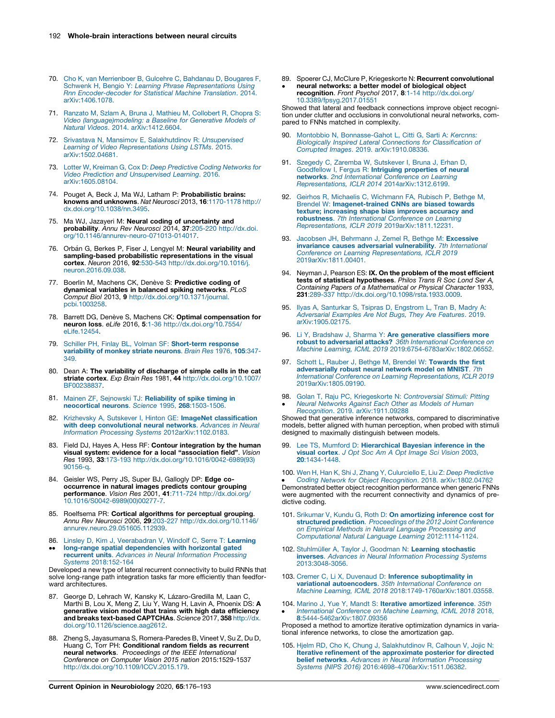- <span id="page-16-0"></span>70. Cho K, van [Merrienboer](http://refhub.elsevier.com/S0959-4388(20)30176-8/sbref0350) B, Gulcehre C, Bahdanau D, Bougares F, Schwenk H, Bengio Y: Learning Phrase [Representations](http://refhub.elsevier.com/S0959-4388(20)30176-8/sbref0350) Using Rnn [Encoder-decoder](http://refhub.elsevier.com/S0959-4388(20)30176-8/sbref0350) for Statistical Machine Translation. 2014. [arXiv:1406.1078.](http://refhub.elsevier.com/S0959-4388(20)30176-8/sbref0350)
- 71. Ranzato M, Szlam A, Bruna J, Mathieu M, [Collobert](http://refhub.elsevier.com/S0959-4388(20)30176-8/sbref0355) R, Chopra S: Video [\(language\)modeling:](http://refhub.elsevier.com/S0959-4388(20)30176-8/sbref0355) a Baseline for Generative Models of Natural Videos. 2014. [arXiv:1412.6604.](http://refhub.elsevier.com/S0959-4388(20)30176-8/sbref0355)
- 72. Srivastava N, Mansimov E, [Salakhutdinov](http://refhub.elsevier.com/S0959-4388(20)30176-8/sbref0360) R: Unsupervised Learning of Video [Representations](http://refhub.elsevier.com/S0959-4388(20)30176-8/sbref0360) Using LSTMs. 2015. [arXiv:1502.04681.](http://refhub.elsevier.com/S0959-4388(20)30176-8/sbref0360)
- 73. Lotter W, Kreiman G, Cox D: Deep [Predictive](http://refhub.elsevier.com/S0959-4388(20)30176-8/sbref0365) Coding Networks for Video Prediction and [Unsupervised](http://refhub.elsevier.com/S0959-4388(20)30176-8/sbref0365) Learning. 2016. [arXiv:1605.08104.](http://refhub.elsevier.com/S0959-4388(20)30176-8/sbref0365)
- 74. Pouget A, Beck J, Ma WJ, Latham P: Probabilistic brains: knowns and unknowns. Nat Neurosci 2013, 16:1170-1178 [http://](http://dx.doi.org/10.1038/nn.3495) [dx.doi.org/10.1038/nn.3495.](http://dx.doi.org/10.1038/nn.3495)
- 75. Ma WJ, Jazayeri M: Neural coding of uncertainty and probability. Annu Rev Neurosci 2014, 37:205-220 [http://dx.doi.](http://dx.doi.org/10.1146/annurev-neuro-071013-014017) [org/10.1146/annurev-neuro-071013-014017](http://dx.doi.org/10.1146/annurev-neuro-071013-014017).
- 76. Orbán G, Berkes P, Fiser J, Lengyel M: Neural variability and sampling-based probabilistic representations in the visual cortex. Neuron 2016, 92:530-543 [http://dx.doi.org/10.1016/j.](http://dx.doi.org/10.1016/j.neuron.2016.09.038) [neuron.2016.09.038.](http://dx.doi.org/10.1016/j.neuron.2016.09.038)
- 77. Boerlin M, Machens CK, Denève S: Predictive coding of dynamical variables in balanced spiking networks. PLoS Comput Biol 2013, 9 [http://dx.doi.org/10.1371/journal.](http://dx.doi.org/10.1371/journal.pcbi.1003258) [pcbi.1003258.](http://dx.doi.org/10.1371/journal.pcbi.1003258)
- 78. Barrett DG, Denève S, Machens CK: Optimal compensation for neuron loss. eLife 2016, 5:1-36 [http://dx.doi.org/10.7554/](http://dx.doi.org/10.7554/eLife.12454) [eLife.12454](http://dx.doi.org/10.7554/eLife.12454).
- 79. Schiller PH, Finlay BL, Volman SF: [Short-term](http://refhub.elsevier.com/S0959-4388(20)30176-8/sbref0395) response [variability](http://refhub.elsevier.com/S0959-4388(20)30176-8/sbref0395) of monkey striate neurons. Brain Res 1976, 105:347- [349.](http://refhub.elsevier.com/S0959-4388(20)30176-8/sbref0395)
- 80. Dean A: The variability of discharge of simple cells in the cat striate cortex. Exp Brain Res 1981, 44 [http://dx.doi.org/10.1007/](http://dx.doi.org/10.1007/BF00238837) [BF00238837.](http://dx.doi.org/10.1007/BF00238837)
- 81. Mainen ZF, Sejnowski TJ: [Reliability](http://refhub.elsevier.com/S0959-4388(20)30176-8/sbref0405) of spike timing in neocortical neurons. Science 1995, 268[:1503-1506.](http://refhub.elsevier.com/S0959-4388(20)30176-8/sbref0405)
- 82. Krizhevsky A, Sutskever I, Hinton GE: ImageNet [classification](http://refhub.elsevier.com/S0959-4388(20)30176-8/sbref0410) with deep [convolutional](http://refhub.elsevier.com/S0959-4388(20)30176-8/sbref0410) neural networks. Advances in Neural Information Processing Systems [2012arXiv:1102.0183.](http://refhub.elsevier.com/S0959-4388(20)30176-8/sbref0410)
- 83. Field DJ, Hayes A, Hess RF: Contour integration by the human visual system: evidence for a local "association field". Vision Res 1993, 33:173-193 [http://dx.doi.org/10.1016/0042-6989\(93\)](http://dx.doi.org/10.1016/0042-6989(93)90156-q) [90156-q](http://dx.doi.org/10.1016/0042-6989(93)90156-q).
- 84. Geisler WS, Perry JS, Super BJ, Gallogly DP: Edge co-<br>occurrence in natural images predicts contour grouping performance. Vision Res 2001, 41:711-724 [http://dx.doi.org/](http://dx.doi.org/10.1016/S0042-6989(00)00277-7) [10.1016/S0042-6989\(00\)00277-7](http://dx.doi.org/10.1016/S0042-6989(00)00277-7).
- 85. Roelfsema PR: Cortical algorithms for perceptual grouping. Annu Rev Neurosci 2006, 29:203-227 [http://dx.doi.org/10.1146/](http://dx.doi.org/10.1146/annurev.neuro.29.051605.112939) [annurev.neuro.29.051605.112939](http://dx.doi.org/10.1146/annurev.neuro.29.051605.112939).
- 86. Linsley D, Kim J, [Veerabadran](http://refhub.elsevier.com/S0959-4388(20)30176-8/sbref0430) V, Windolf C, Serre T: Learning
- $\ddot{\phantom{0}}$ long-range spatial [dependencies](http://refhub.elsevier.com/S0959-4388(20)30176-8/sbref0430) with horizontal gated recurrent units. Advances in Neural [Information](http://refhub.elsevier.com/S0959-4388(20)30176-8/sbref0430) Processing Systems [2018:152-164](http://refhub.elsevier.com/S0959-4388(20)30176-8/sbref0430)

Developed a new type of lateral recurrent connectivity to build RNNs that solve long-range path integration tasks far more efficiently than feedforward architectures.

- 87. George D, Lehrach W, Kansky K, Lázaro-Gredilla M, Laan C,<br>Marthi B, Lou X, Meng Z, Liu Y, Wang H, Lavin A, Phoenix DS: A<br>generative vision model that trains with high data efficiency and breaks text-based CAPTCHAs. Science 2017, 358 [http://dx.](http://dx.doi.org/10.1126/science.aag2612) [doi.org/10.1126/science.aag2612](http://dx.doi.org/10.1126/science.aag2612).
- 88. Zheng S, Jayasumana S, Romera-Paredes B, Vineet V, Su Z, Du D, Huang C, Torr PH: Conditional random fields as recurrent neural networks. Proceedings of the IEEE International Conference on Computer Vision 2015 nation 2015:1529-1537 [http://dx.doi.org/10.1109/ICCV.2015.179.](http://dx.doi.org/10.1109/ICCV.2015.179)
- 89. Spoerer CJ, McClure P, Kriegeskorte N: Recurrent convolutional
- $\cdot$ neural networks: a better model of biological object recognition. Front Psychol 2017, 8:1-14 [http://dx.doi.org/](http://dx.doi.org/10.3389/fpsyg.2017.01551) [10.3389/fpsyg.2017.01551](http://dx.doi.org/10.3389/fpsyg.2017.01551)

Showed that lateral and feedback connections improve object recognition under clutter and occlusions in convolutional neural networks, compared to FNNs matched in complexity.

- 90. Montobbio N, [Bonnasse-Gahot](http://refhub.elsevier.com/S0959-4388(20)30176-8/sbref0450) L, Citti G, Sarti A: Kercnns: Biologically Inspired Lateral Connections for [Classification](http://refhub.elsevier.com/S0959-4388(20)30176-8/sbref0450) of Corrupted Images. 2019. [arXiv:1910.08336.](http://refhub.elsevier.com/S0959-4388(20)30176-8/sbref0450)
- 91. Szegedy C, Zaremba W, [Sutskever](http://refhub.elsevier.com/S0959-4388(20)30176-8/sbref0455) I, Bruna J, Erhan D [Goodfellow](http://refhub.elsevier.com/S0959-4388(20)30176-8/sbref0455) I, Fergus R: Intriguing properties of neural networks. 2nd [International](http://refhub.elsevier.com/S0959-4388(20)30176-8/sbref0455) Conference on Learning Representations, ICLR 2014 [2014arXiv:1312.6199.](http://refhub.elsevier.com/S0959-4388(20)30176-8/sbref0455)
- 92. Geirhos R, Michaelis C, [Wichmann](http://refhub.elsevier.com/S0959-4388(20)30176-8/sbref0460) FA, Rubisch P, Bethge M,<br>Brendel W: **[Imagenet-trained](http://refhub.elsevier.com/S0959-4388(20)30176-8/sbref0460) CNNs are biased towards** texture; [increasing](http://refhub.elsevier.com/S0959-4388(20)30176-8/sbref0460) shape bias improves accuracy and robustness. 7th [International](http://refhub.elsevier.com/S0959-4388(20)30176-8/sbref0460) Conference on Learning Representations, ICLR 2019 [2019arXiv:1811.12231.](http://refhub.elsevier.com/S0959-4388(20)30176-8/sbref0460)
- 93. Jacobsen JH, Behrmann J, Zemel R, Bethge M: [Excessive](http://refhub.elsevier.com/S0959-4388(20)30176-8/sbref0465) invariance causes adversarial [vulnerability](http://refhub.elsevier.com/S0959-4388(20)30176-8/sbref0465). 7th International Conference on Learning [Representations,](http://refhub.elsevier.com/S0959-4388(20)30176-8/sbref0465) ICLR 2019 [2019arXiv:1811.00401.](http://refhub.elsevier.com/S0959-4388(20)30176-8/sbref0465)
- 94. Neyman J, Pearson ES: IX. On the problem of the most efficient tests of statistical hypotheses. Philos Trans R Soc Lond Ser A, Containing Papers of a Mathematical or Physical Character 1933, 231:289-337 <http://dx.doi.org/10.1098/rsta.1933.0009>.
- 95. Ilyas A, [Santurkar](http://refhub.elsevier.com/S0959-4388(20)30176-8/sbref0475) S, Tsipras D, Engstrom L, Tran B, Madry A: [Adversarial](http://refhub.elsevier.com/S0959-4388(20)30176-8/sbref0475) Examples Are Not Bugs, They Are Features. 2019. [arXiv:1905.02175.](http://refhub.elsevier.com/S0959-4388(20)30176-8/sbref0475)
- 96. Li Y, Bradshaw J, Sharma Y: Are [generative](http://refhub.elsevier.com/S0959-4388(20)30176-8/sbref0480) classifiers more robust to adversarial attacks? 36th [International](http://refhub.elsevier.com/S0959-4388(20)30176-8/sbref0480) Conference on Machine Learning, ICML 2019 [2019:6754-6783arXiv:1802.06552.](http://refhub.elsevier.com/S0959-4388(20)30176-8/sbref0480)
- 97. Schott L, Rauber J, Bethge M, Brendel W: [Towards](http://refhub.elsevier.com/S0959-4388(20)30176-8/sbref0485) the first [adversarially](http://refhub.elsevier.com/S0959-4388(20)30176-8/sbref0485) robust neural network model on MNIST. 7th<br>International Conference on Learning [Representations,](http://refhub.elsevier.com/S0959-4388(20)30176-8/sbref0485) ICLR 2019 [2019arXiv:1805.09190.](http://refhub.elsevier.com/S0959-4388(20)30176-8/sbref0485)
- 98. Golan T, Raju PC, Kriegeskorte N: [Controversial](http://refhub.elsevier.com/S0959-4388(20)30176-8/sbref0490) Stimuli: Pitting  $\cdot$ Neural [Networks](http://refhub.elsevier.com/S0959-4388(20)30176-8/sbref0490) Against Each Other as Models of Human Recognition. 2019. [arXiv:1911.09288](http://refhub.elsevier.com/S0959-4388(20)30176-8/sbref0490)

Showed that generative inference networks, compared to discriminative models, better aligned with human perception, when probed with stimuli designed to maximally distinguish between models.

99. Lee TS, Mumford D: [Hierarchical](http://refhub.elsevier.com/S0959-4388(20)30176-8/sbref0495) Bayesian inference in the visual [cortex](http://refhub.elsevier.com/S0959-4388(20)30176-8/sbref0495). J Opt Soc Am A Opt Image Sci Vision 2003, 20[:1434-1448.](http://refhub.elsevier.com/S0959-4388(20)30176-8/sbref0495)

100. Wen H, Han K, Shi J, Zhang Y, [Culurciello](http://refhub.elsevier.com/S0959-4388(20)30176-8/sbref0500) E, Liu Z: Deep Predictive • Coaing Network for Object Recognition. 2018. arxiv: 1802.04762<br>Demonstrated better object recognition performance when generic FNNs Coding Network for Object Recognition. 2018. [arXiv:1802.04762](http://refhub.elsevier.com/S0959-4388(20)30176-8/sbref0500) were augmented with the recurrent connectivity and dynamics of predictive coding.

- 101. Srikumar V, Kundu G, Roth D: On [amortizing](http://refhub.elsevier.com/S0959-4388(20)30176-8/sbref0505) inference cost for structured prediction. [Proceedings](http://refhub.elsevier.com/S0959-4388(20)30176-8/sbref0505) of the 2012 Joint Conference on Empirical Methods in Natural Language [Processing](http://refhub.elsevier.com/S0959-4388(20)30176-8/sbref0505) and Computational Natural Language Learning [2012:1114-1124.](http://refhub.elsevier.com/S0959-4388(20)30176-8/sbref0505)
- 102. Stuhlmüller A, Taylor J, Goodman N: Learning [stochastic](http://refhub.elsevier.com/S0959-4388(20)30176-8/sbref0510) inverses. Advances in Neural [Information](http://refhub.elsevier.com/S0959-4388(20)30176-8/sbref0510) Processing Systems [2013:3048-3056.](http://refhub.elsevier.com/S0959-4388(20)30176-8/sbref0510)
- 103. Cremer C, Li X, Duvenaud D: Inference [suboptimality](http://refhub.elsevier.com/S0959-4388(20)30176-8/sbref0515) in variational [autoencoders](http://refhub.elsevier.com/S0959-4388(20)30176-8/sbref0515). 35th International Conference on Machine Learning, ICML 2018 [2018:1749-1760arXiv:1801.03558.](http://refhub.elsevier.com/S0959-4388(20)30176-8/sbref0515)
- 104. Marino J, Yue Y, Mandt S: Iterative [amortized](http://refhub.elsevier.com/S0959-4388(20)30176-8/sbref0520) inference. 35th  $\cdot$ [International](http://refhub.elsevier.com/S0959-4388(20)30176-8/sbref0520) Conference on Machine Learning, ICML 2018 2018, 8[:5444-5462arXiv:1807.09356](http://refhub.elsevier.com/S0959-4388(20)30176-8/sbref0520)

Proposed a method to amortize iterative optimization dynamics in variational inference networks, to close the amortization gap.

105. Hjelm RD, Cho K, Chung J, [Salakhutdinov](http://refhub.elsevier.com/S0959-4388(20)30176-8/sbref0525) R, Calhoun V, Jojic N: Iterative refinement of the [approximate](http://refhub.elsevier.com/S0959-4388(20)30176-8/sbref0525) posterior for directed belief networks. Advances in Neural [Information](http://refhub.elsevier.com/S0959-4388(20)30176-8/sbref0525) Processing Systems (NIPS 2016) [2016:4698-4706arXiv:1511.06382.](http://refhub.elsevier.com/S0959-4388(20)30176-8/sbref0525)